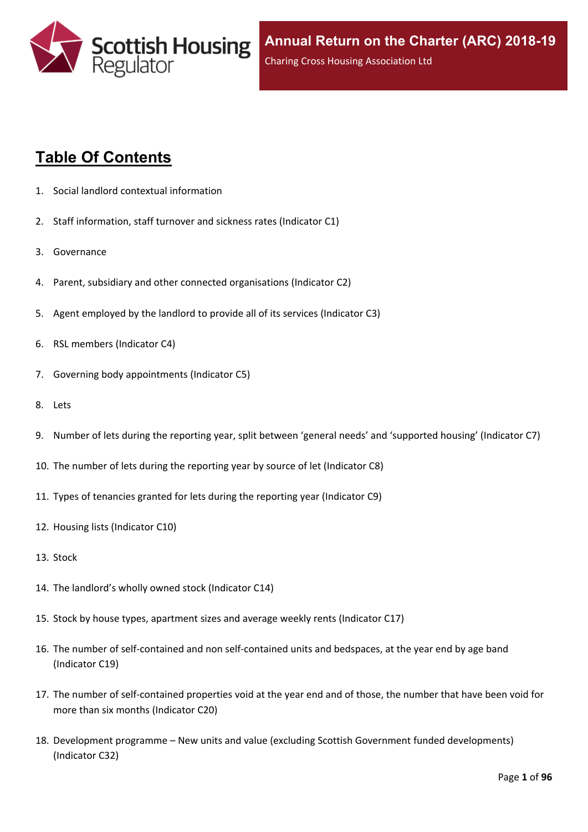

# **Table Of Contents**

- 1. Social landlord contextual [information](#page-5-0)
- 2. Staff [information,](#page-6-0) staff turnover and sickness rates (Indicator C1)
- 3. [Governance](#page-8-0)
- 4. Parent, subsidiary and other connected [organisations](#page-9-0) (Indicator C2)
- 5. Agent [employed](#page-10-0) by the landlord to provide all of its services (Indicator C3)
- 6. RSL members [\(Indicator](#page-11-0) C4)
- 7. Governing body [appointments](#page-12-0) (Indicator C5)
- 8. [Lets](#page-13-0)
- 9. Number of lets during the reporting year, split between 'general needs' and ['supported](#page-14-0) housing' (Indicator C7)
- 10. The number of lets during the reporting year by source of let [\(Indicator](#page-15-0) C8)
- 11. Types of tenancies granted for lets during the reporting year [\(Indicator](#page-16-0) C9)
- 12. Housing lists [\(Indicator](#page-17-0) C10)
- 13. [Stock](#page-18-0)
- 14. The [landlord's](#page-19-0) wholly owned stock (Indicator C14)
- 15. Stock by house types, [apartment](#page-20-0) sizes and average weekly rents (Indicator C17)
- 16. The number of self-contained and non [self-contained](#page-21-0) units and bedspaces, at the year end by age band [\(Indicator](#page-21-0) C19)
- 17. The number of [self-contained](#page-22-0) properties void at the year end and of those, the number that have been void for more than six months [\(Indicator](#page-22-0) C20)
- 18. [Development](#page-23-0) programme [–](#page-23-0) New units and value (excluding Scottish Government funded [developments\)](#page-23-0) [\(Indicator](#page-23-0) C32)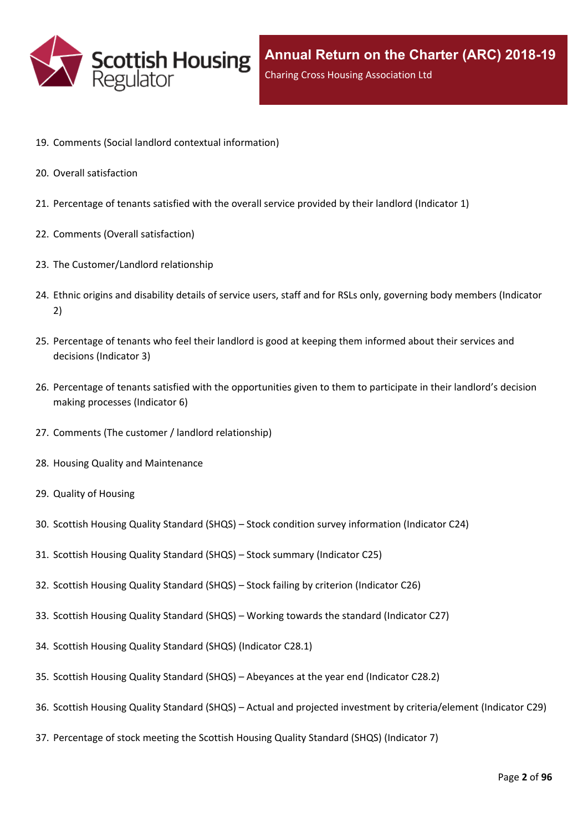

- 19. Comments (Social landlord contextual [information\)](#page-25-0)
- 20. Overall [satisfaction](#page-26-0)
- 21. [Percentage](#page-27-0) of tenants satisfied with the overall service provided by their landlord (Indicator 1)
- 22. Comments (Overall [satisfaction\)](#page-29-0)
- 23. The [Customer/Landlord](#page-30-0) relationship
- 24. Ethnic origins and disability details of service users, staff and for RSLs only, [governing](#page-31-0) body members (Indicator [2\)](#page-31-0)
- 25. [Percentage](#page-33-0) of tenants who feel their landlord is good at keeping them informed about their services and [decisions](#page-33-0) [\(Indicator](#page-33-0) 3)
- 26. Percentage of tenants satisfied with the [opportunities](#page-34-0) given to them to participate in their landlord's decision making [processes](#page-34-0) (Indicator 6)
- 27. Comments (The customer / landlord [relationship\)](#page-35-0)
- 28. Housing Quality and [Maintenance](#page-36-0)
- 29. Quality of [Housing](#page-37-0)
- 30. Scottish Housing Quality [Standard](#page-38-0) (SHQS) [–](#page-38-0) Stock condition survey [information](#page-38-0) (Indicator C24)
- 31. Scottish Housing Quality [Standard](#page-39-0) (SHQS) [–](#page-39-0) Stock summary [\(Indicator](#page-39-0) C25)
- 32. Scottish Housing Quality [Standard](#page-41-0) (SHQS) [–](#page-41-0) Stock failing by criterion [\(Indicator](#page-41-0) C26)
- 33. Scottish Housing Quality [Standard](#page-42-0) (SHQS) [–](#page-42-0) Working towards the standard [\(Indicator](#page-42-0) C27)
- 34. Scottish Housing Quality Standard (SHQS) [\(Indicator](#page-43-0) C28.1)
- 35. Scottish Housing Quality [Standard](#page-44-0) (SHQS) [–](#page-44-0) [Abeyances](#page-44-0) at the year end (Indicator C28.2)
- 36. Scottish Housing Quality [Standard](#page-45-0) (SHQS) [–](#page-45-0) Actual and projected investment by [criteria/element](#page-45-0) (Indicator C29)
- 37. [Percentage](#page-46-0) of stock meeting the Scottish Housing Quality Standard (SHQS) (Indicator 7)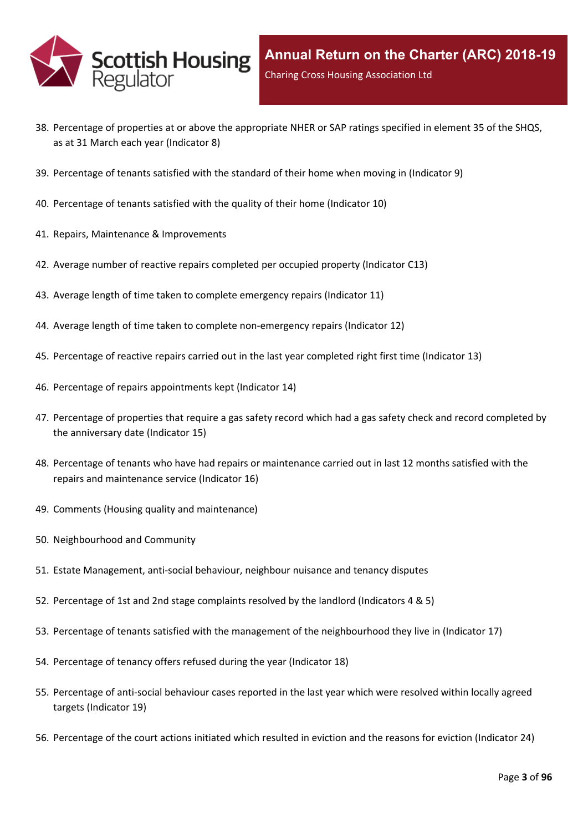

- 38. Percentage of properties at or above the [appropriate](#page-47-0) NHER or SAP ratings specified in element 35 of the SHQS, as at 31 March each year [\(Indicator](#page-47-0) 8)
- 39. [Percentage](#page-48-0) of tenants satisfied with the standard of their home when moving in (Indicator 9)
- 40. [Percentage](#page-49-0) of tenants satisfied with the quality of their home (Indicator 10)
- 41. Repairs, Maintenance & [Improvements](#page-50-0)
- 42. Average number of reactive repairs [completed](#page-51-0) per occupied property (Indicator C13)
- 43. Average length of time taken to complete [emergency](#page-52-0) repairs (Indicator 11)
- 44. Average length of time taken to complete [non-emergency](#page-53-0) repairs (Indicator 12)
- 45. [Percentage](#page-54-0) of reactive repairs carried out in the last year completed right first time (Indicator 13)
- 46. Percentage of repairs [appointments](#page-55-0) kept (Indicator 14)
- 47. [Percentage](#page-56-0) of properties that require a gas safety record which had a gas safety check and record completed by the [anniversary](#page-56-0) date (Indicator 15)
- 48. Percentage of tenants who have had repairs or [maintenance](#page-57-0) carried out in last 12 months satisfied with the repairs and [maintenance](#page-57-0) service (Indicator 16)
- 49. Comments (Housing quality and [maintenance\)](#page-58-0)
- 50. [Neighbourhood](#page-59-0) and Community
- 51. Estate [Management,](#page-60-0) anti-social behaviour, neighbour nuisance and tenancy disputes
- 52. [Percentage](#page-61-0) of 1st and 2nd stage complaints resolved by the landlord (Indicators 4 & 5)
- 53. Percentage of tenants satisfied with the management of the [neighbourhood](#page-64-0) they live in (Indicator 17)
- 54. [Percentage](#page-65-0) of tenancy offers refused during the year (Indicator 18)
- 55. [Percentage](#page-66-0) of anti-social behaviour cases reported in the last year which were resolved within locally agreed targets [\(Indicator](#page-66-0) 19)
- 56. [Percentage](#page-67-0) of the court actions initiated which resulted in eviction and the reasons for eviction (Indicator 24)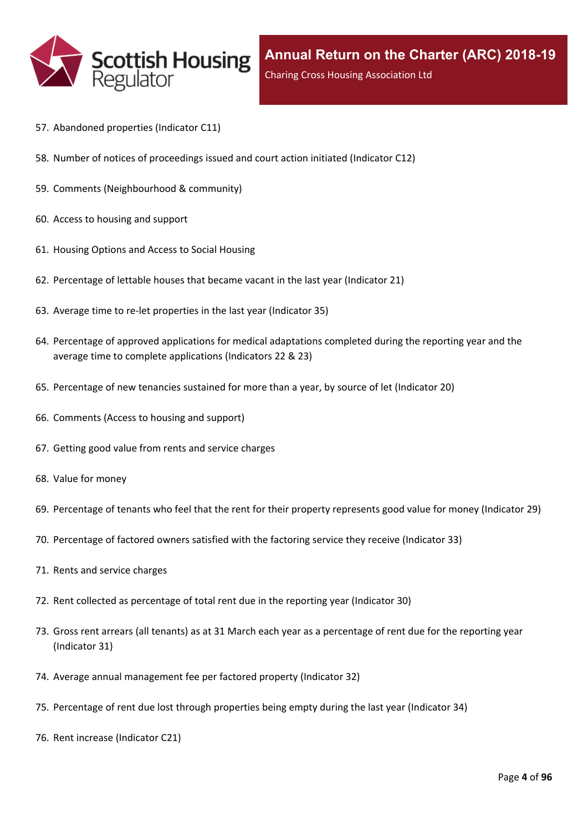

- 57. [Abandoned](#page-68-0) properties (Indicator C11)
- 58. Number of notices of [proceedings](#page-69-0) issued and court action initiated (Indicator C12)
- 59. Comments [\(Neighbourhood](#page-70-0) & community)
- 60. Access to [housing](#page-71-0) and support
- 61. [Housing](#page-72-0) Options and Access to Social Housing
- 62. [Percentage](#page-73-0) of lettable houses that became vacant in the last year (Indicator 21)
- 63. Average time to re-let [properties](#page-74-0) in the last year (Indicator 35)
- 64. Percentage of approved [applications](#page-75-0) for medical adaptations completed during the reporting year and the average time to complete [applications](#page-75-0) (Indicators 22 & 23)
- 65. [Percentage](#page-76-0) of new tenancies sustained for more than a year, by source of let (Indicator 20)
- 66. [Comments](#page-78-0) (Access to housing and support)
- 67. Getting good value from rents and service [charges](#page-79-0)
- 68. Value for [money](#page-80-0)
- 69. [Percentage](#page-81-0) of tenants who feel that the rent for their property represents good value for money (Indicator 29)
- 70. [Percentage](#page-82-0) of factored owners satisfied with the factoring service they receive (Indicator 33)
- 71. Rents and service [charges](#page-83-0)
- 72. Rent collected as [percentage](#page-84-0) of total rent due in the reporting year (Indicator 30)
- 73. Gross rent arrears (all tenants) as at 31 March each year as a [percentage](#page-85-0) of rent due for the reporting year [\(Indicator](#page-85-0) 31)
- 74. Average annual [management](#page-86-0) fee per factored property (Indicator 32)
- 75. [Percentage](#page-87-0) of rent due lost through properties being empty during the last year (Indicator 34)
- 76. Rent increase [\(Indicator](#page-88-0) C21)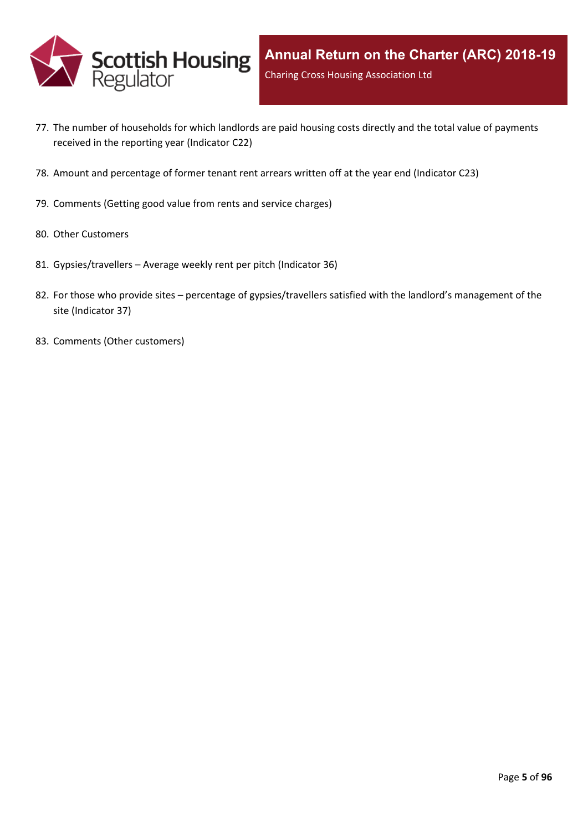

- 77. The number of [households](#page-89-0) for which landlords are paid housing costs directly and the total value of payments received in the reporting year [\(Indicator](#page-89-0) C22)
- 78. Amount and [percentage](#page-90-0) of former tenant rent arrears written off at the year end (Indicator C23)
- 79. [Comments](#page-91-0) (Getting good value from rents and service charges)
- 80. Other [Customers](#page-92-0)
- 81. [Gypsies/travellers](#page-93-0) [–](#page-93-0) Average weekly rent per pitch [\(Indicator](#page-93-0) 36)
- 82. For those who [provide](#page-94-0) sites [–](#page-94-0) percentage of [gypsies/travellers](#page-94-0) satisfied with the landlord's management of the site [\(Indicator](#page-94-0) 37)
- 83. Comments (Other [customers\)](#page-95-0)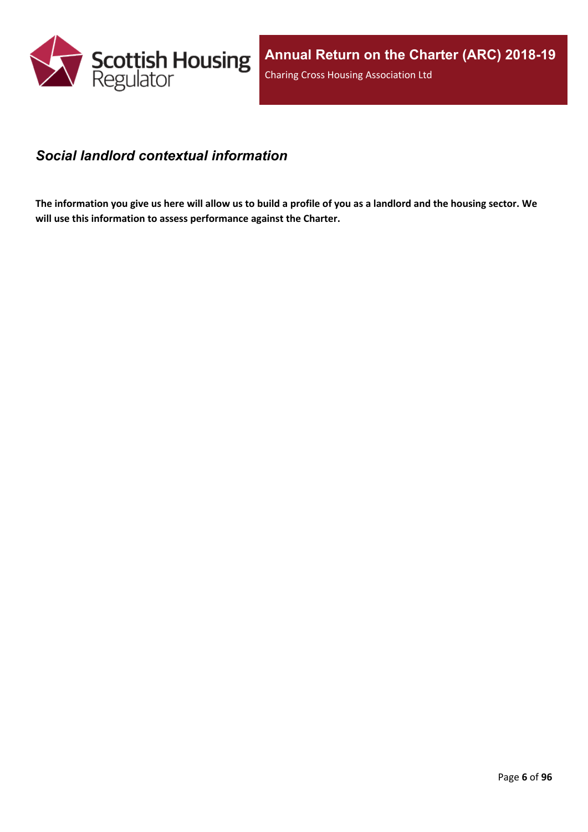

#### <span id="page-5-0"></span>*Social landlord contextual information*

The information you give us here will allow us to build a profile of you as a landlord and the housing sector. We **will use this information to assess performance against the Charter.**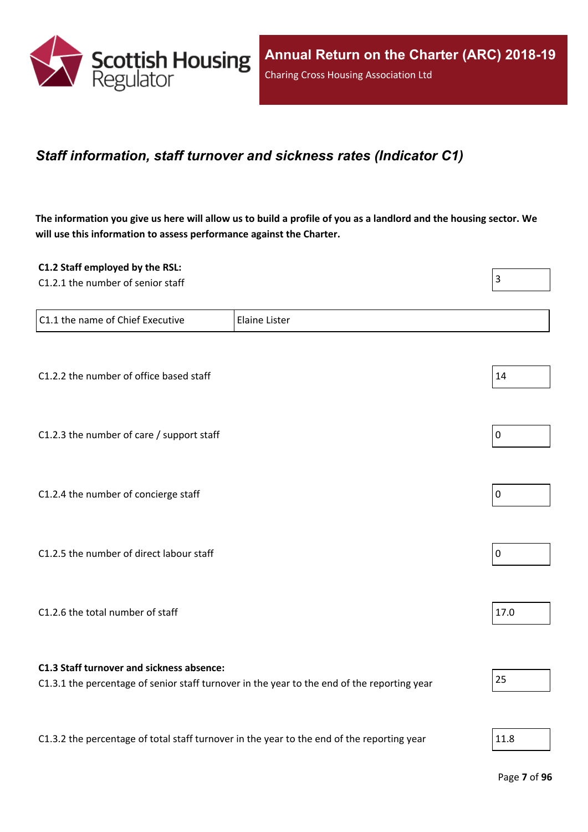

#### <span id="page-6-0"></span>*Staff information, staff turnover and sickness rates (Indicator C1)*

The information you give us here will allow us to build a profile of you as a landlord and the housing sector. We **will use this information to assess performance against the Charter.**

| C1.2 Staff employed by the RSL:                                                            |                                                                                             |             |
|--------------------------------------------------------------------------------------------|---------------------------------------------------------------------------------------------|-------------|
| C1.2.1 the number of senior staff                                                          |                                                                                             | 3           |
|                                                                                            |                                                                                             |             |
| C1.1 the name of Chief Executive                                                           | <b>Elaine Lister</b>                                                                        |             |
|                                                                                            |                                                                                             |             |
| C1.2.2 the number of office based staff                                                    |                                                                                             | 14          |
|                                                                                            |                                                                                             |             |
|                                                                                            |                                                                                             |             |
| C1.2.3 the number of care / support staff                                                  |                                                                                             | $\pmb{0}$   |
|                                                                                            |                                                                                             |             |
| C1.2.4 the number of concierge staff                                                       |                                                                                             | $\mathbf 0$ |
|                                                                                            |                                                                                             |             |
|                                                                                            |                                                                                             |             |
| C1.2.5 the number of direct labour staff                                                   |                                                                                             | $\pmb{0}$   |
|                                                                                            |                                                                                             |             |
| C1.2.6 the total number of staff                                                           |                                                                                             | 17.0        |
|                                                                                            |                                                                                             |             |
| C1.3 Staff turnover and sickness absence:                                                  |                                                                                             |             |
|                                                                                            | C1.3.1 the percentage of senior staff turnover in the year to the end of the reporting year | 25          |
|                                                                                            |                                                                                             |             |
| C1.3.2 the percentage of total staff turnover in the year to the end of the reporting year |                                                                                             | 11.8        |
|                                                                                            |                                                                                             |             |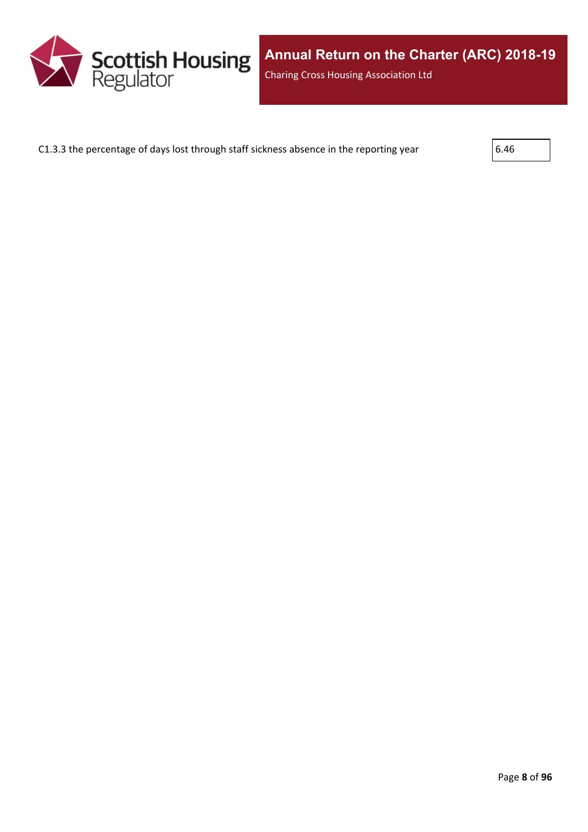

C1.3.3 the percentage of days lost through staff sickness absence in the reporting year  $6.46$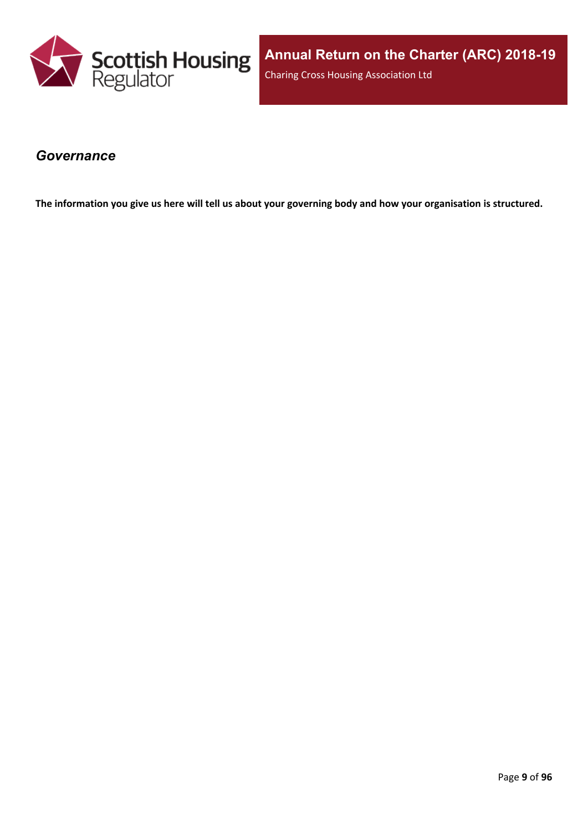

#### <span id="page-8-0"></span>*Governance*

The information you give us here will tell us about your governing body and how your organisation is structured.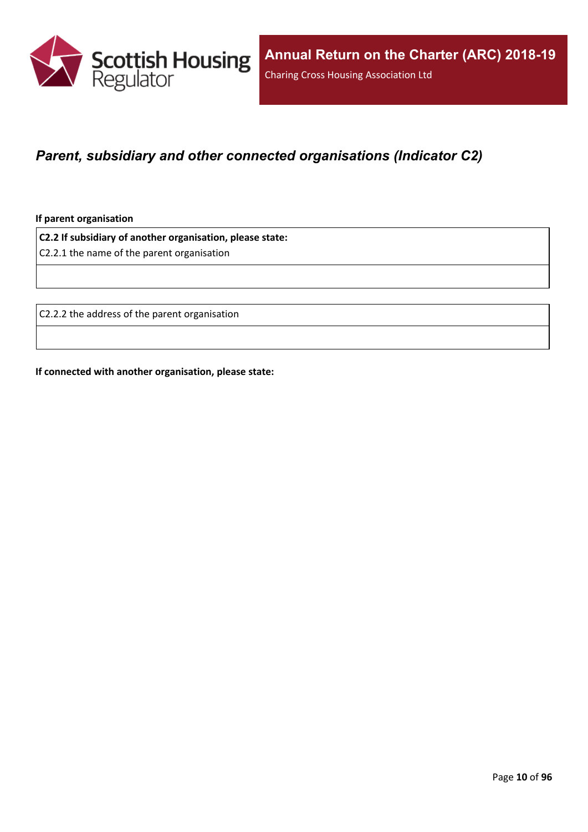

### <span id="page-9-0"></span>*Parent, subsidiary and other connected organisations (Indicator C2)*

**If parent organisation**

**C2.2 If subsidiary of another organisation, please state:**

C2.2.1 the name of the parent organisation

C2.2.2 the address of the parent organisation

**If connected with another organisation, please state:**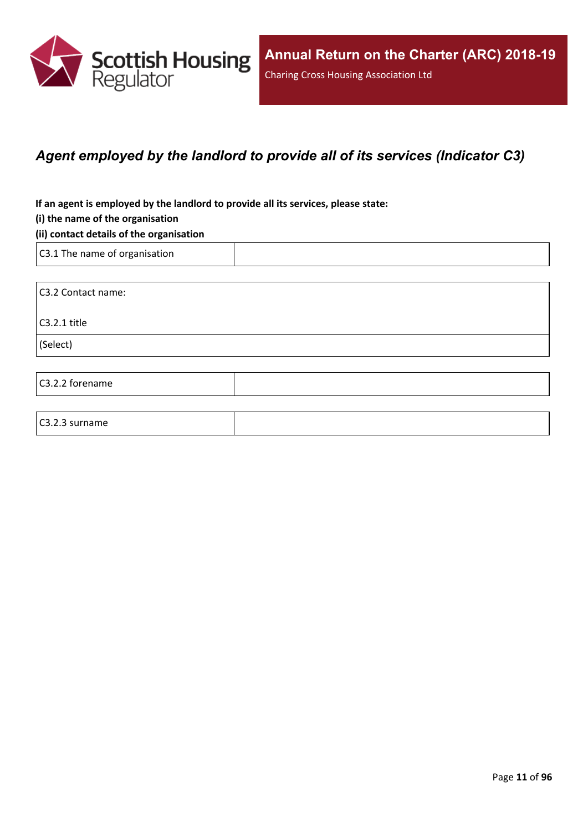

### <span id="page-10-0"></span>*Agent employed by the landlord to provide all of its services (Indicator C3)*

**If an agent is employed by the landlord to provide all its services, please state:**

#### **(i) the name of the organisation**

#### **(ii) contact details of the organisation**

C3.1 The name of organisation

C3.2.3 surname

C3.2 Contact name: C3.2.1 title (Select) C3.2.2 forename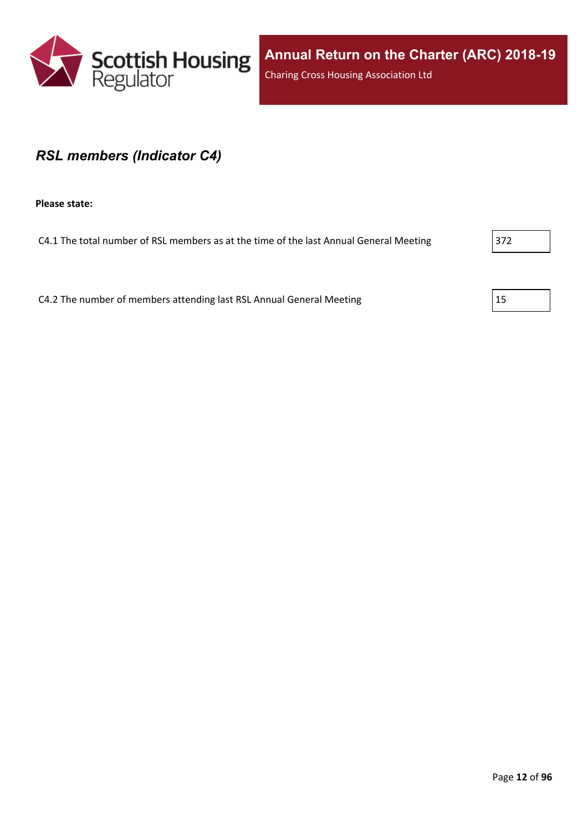

#### <span id="page-11-0"></span>*RSL members (Indicator C4)*

**Please state:**

C4.1 The total number of RSL members as at the time of the last Annual General Meeting 372

C4.2 The number of members attending last RSL Annual General Meeting  $\vert$  15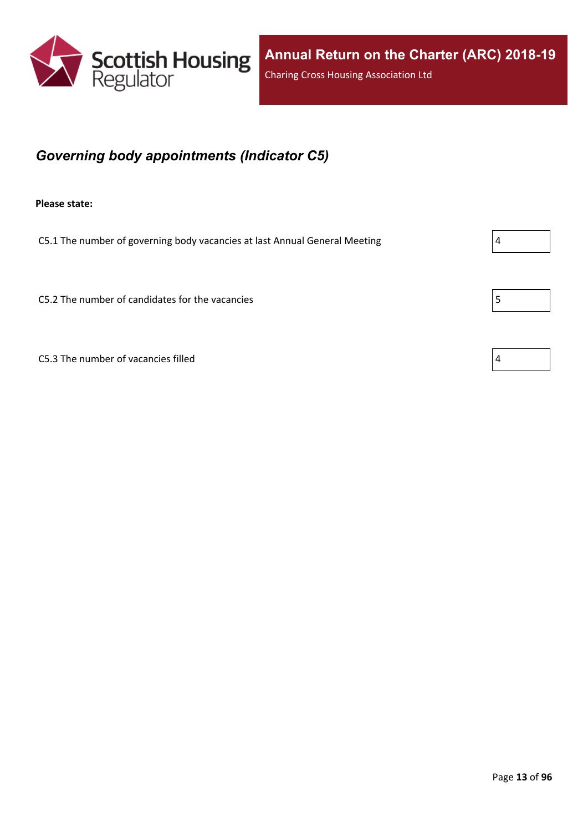

## <span id="page-12-0"></span>*Governing body appointments (Indicator C5)*

**Please state:**

C5.1 The number of governing body vacancies at last Annual General Meeting  $\vert 4 \vert$ 

C5.2 The number of candidates for the vacancies  $\vert$  5

C5.3 The number of vacancies filled  $\vert 4 \vert$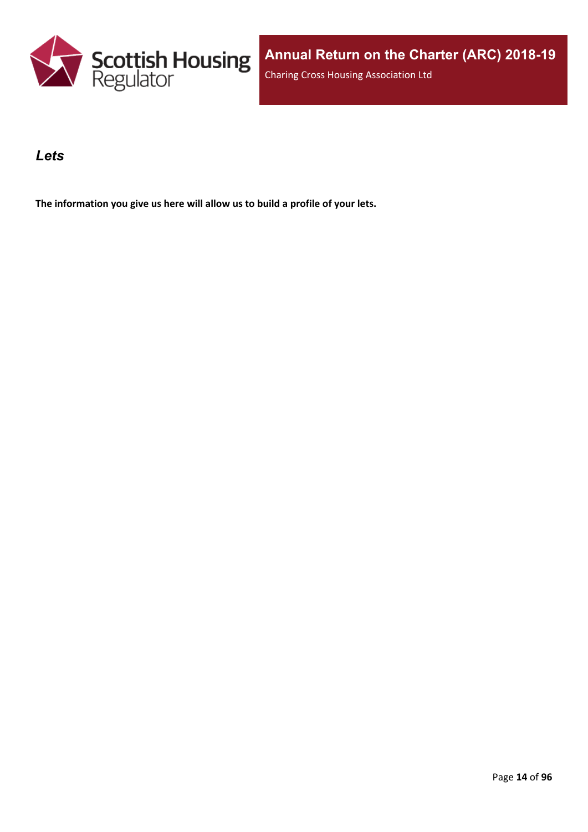

#### <span id="page-13-0"></span>*Lets*

**The information you give us here will allow us to build a profile of your lets.**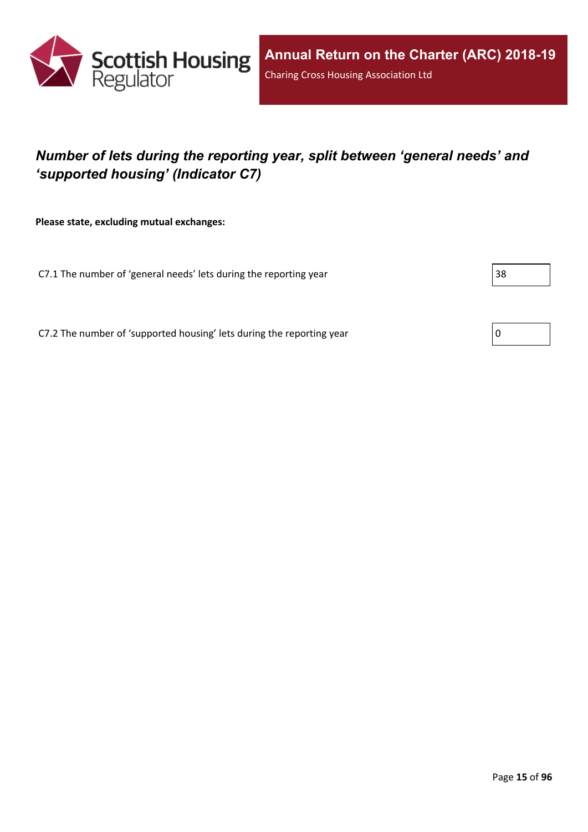

## <span id="page-14-0"></span>*Number of lets during the reporting year, split between 'general needs' and 'supported housing' (Indicator C7)*

**Please state, excluding mutual exchanges:**

C7.1 The number of 'general needs' lets during the reporting year 38

C7.2 The number of 'supported housing' lets during the reporting year  $\vert 0 \rangle$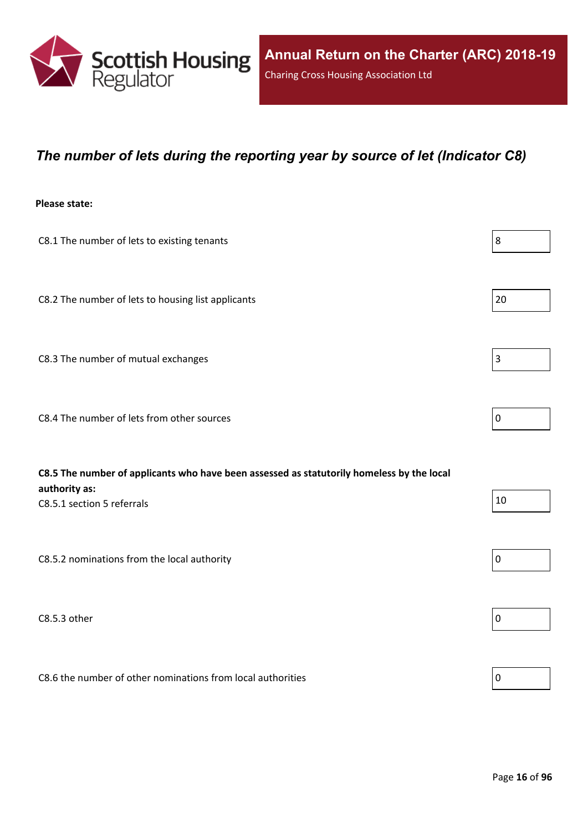

#### <span id="page-15-0"></span>*The number of lets during the reporting year by source of let (Indicator C8)*

#### **Please state:**

| C8.1 The number of lets to existing tenants                                                                                              | 8              |
|------------------------------------------------------------------------------------------------------------------------------------------|----------------|
| C8.2 The number of lets to housing list applicants                                                                                       | 20             |
| C8.3 The number of mutual exchanges                                                                                                      | $\overline{3}$ |
| C8.4 The number of lets from other sources                                                                                               | 0              |
| C8.5 The number of applicants who have been assessed as statutorily homeless by the local<br>authority as:<br>C8.5.1 section 5 referrals | 10             |
| C8.5.2 nominations from the local authority                                                                                              | $\pmb{0}$      |
| C8.5.3 other                                                                                                                             | 0              |

C8.6 the number of other nominations from local authorities  $\vert$  0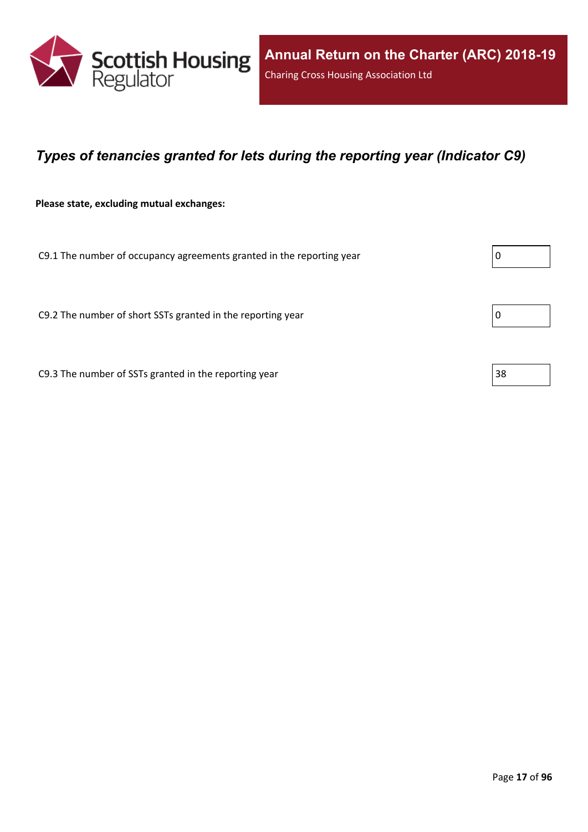

### <span id="page-16-0"></span>*Types of tenancies granted for lets during the reporting year (Indicator C9)*

**Please state, excluding mutual exchanges:**

C9.1 The number of occupancy agreements granted in the reporting year

C9.2 The number of short SSTs granted in the reporting year  $\vert$  0

C9.3 The number of SSTs granted in the reporting year  $\vert$  38

|  | 0 |  |  |  |
|--|---|--|--|--|
|--|---|--|--|--|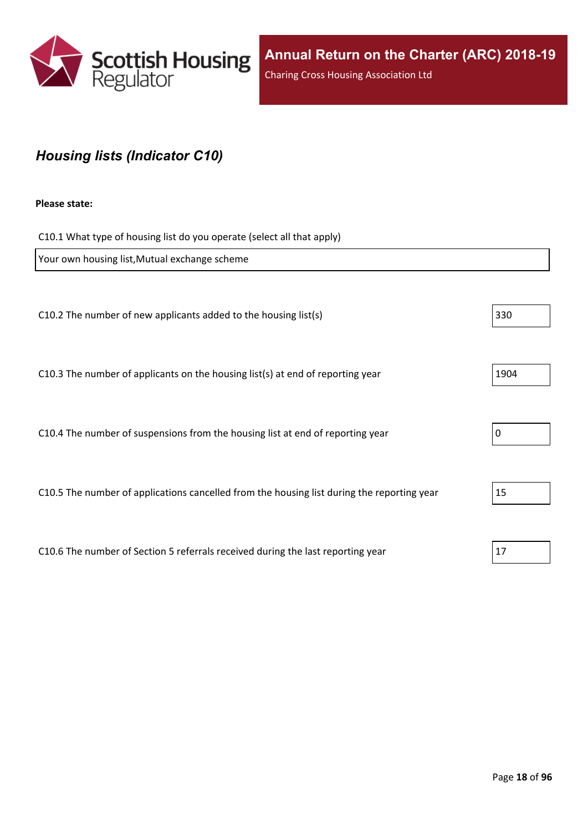

## <span id="page-17-0"></span>*Housing lists (Indicator C10)*

#### **Please state:**

C10.1 What type of housing list do you operate (select all that apply)

| Your own housing list, Mutual exchange scheme                                              |      |
|--------------------------------------------------------------------------------------------|------|
|                                                                                            |      |
| C10.2 The number of new applicants added to the housing list(s)                            | 330  |
|                                                                                            |      |
| C10.3 The number of applicants on the housing list(s) at end of reporting year             | 1904 |
|                                                                                            |      |
| C10.4 The number of suspensions from the housing list at end of reporting year             | 0    |
|                                                                                            |      |
| C10.5 The number of applications cancelled from the housing list during the reporting year | 15   |
|                                                                                            |      |
| C10.6 The number of Section 5 referrals received during the last reporting year            | 17   |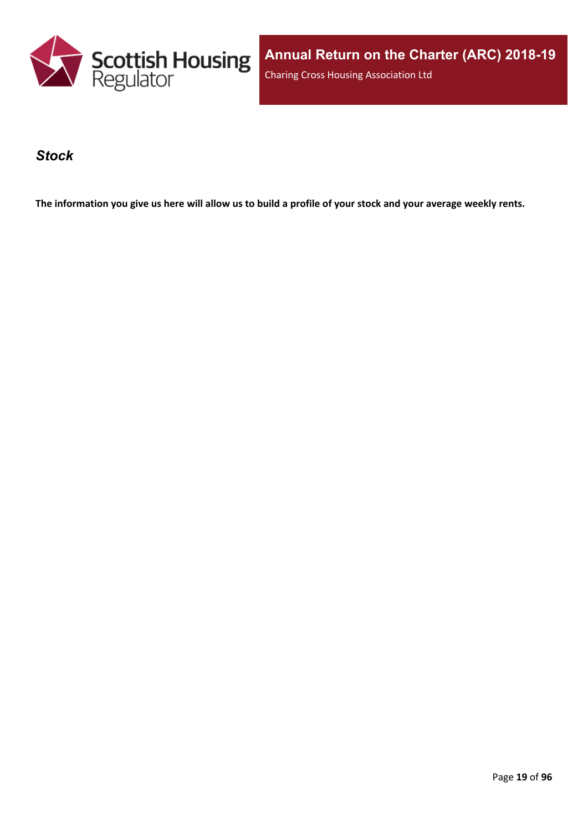

#### <span id="page-18-0"></span>*Stock*

The information you give us here will allow us to build a profile of your stock and your average weekly rents.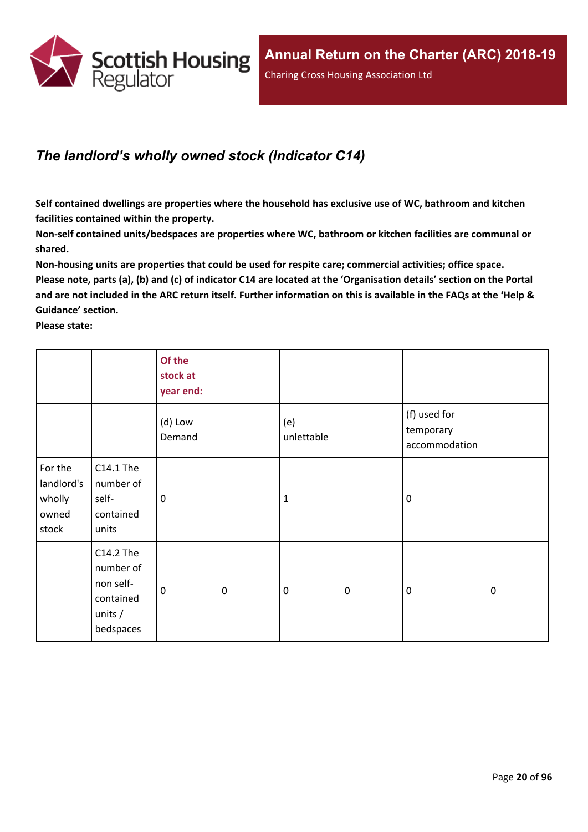

## <span id="page-19-0"></span>*The landlord's wholly owned stock (Indicator C14)*

**Self contained dwellings are properties where the household has exclusive use of WC, bathroom and kitchen facilities contained within the property.**

**Non-self contained units/bedspaces are properties where WC, bathroom or kitchen facilities are communal or shared.**

**Non-housing units are properties that could be used for respite care; commercial activities; office space.** Please note, parts (a), (b) and (c) of indicator C14 are located at the 'Organisation details' section on the Portal and are not included in the ARC return itself. Further information on this is available in the FAQs at the 'Help & **Guidance' section.**

**Please state:**

|                                                   |                                                                            | Of the<br>stock at<br>year end: |                  |                   |           |                                            |             |
|---------------------------------------------------|----------------------------------------------------------------------------|---------------------------------|------------------|-------------------|-----------|--------------------------------------------|-------------|
|                                                   |                                                                            | (d) Low<br>Demand               |                  | (e)<br>unlettable |           | (f) used for<br>temporary<br>accommodation |             |
| For the<br>landlord's<br>wholly<br>owned<br>stock | C14.1 The<br>number of<br>self-<br>contained<br>units                      | $\mathbf 0$                     |                  | $\mathbf{1}$      |           | $\mathbf 0$                                |             |
|                                                   | C14.2 The<br>number of<br>non self-<br>contained<br>units $/$<br>bedspaces | $\mathbf 0$                     | $\boldsymbol{0}$ | $\mathbf 0$       | $\pmb{0}$ | $\mathbf 0$                                | $\mathbf 0$ |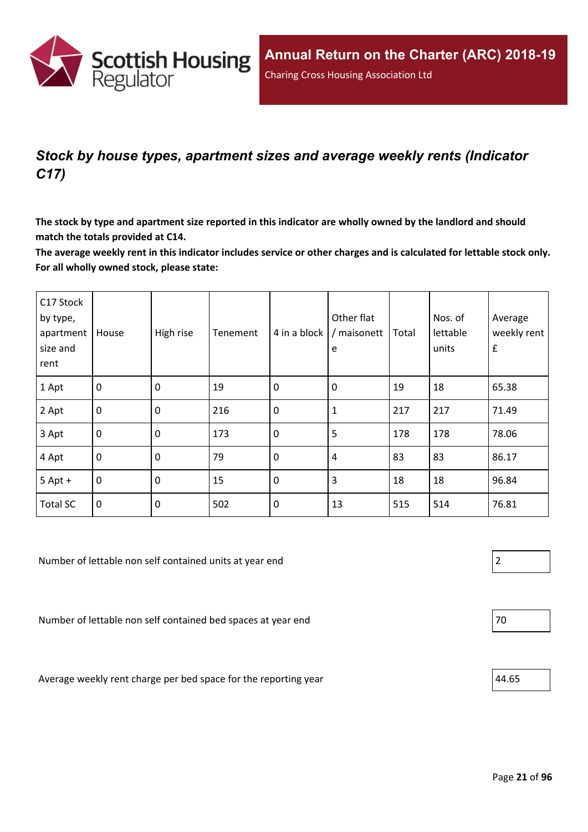

## <span id="page-20-0"></span>*Stock by house types, apartment sizes and average weekly rents (Indicator C17)*

The stock by type and apartment size reported in this indicator are wholly owned by the landlord and should **match the totals provided at C14.**

The average weekly rent in this indicator includes service or other charges and is calculated for lettable stock only. **For all wholly owned stock, please state:**

| C17 Stock<br>by type,<br>apartment<br>size and<br>rent | House          | High rise        | Tenement | 4 in a block     | Other flat<br>/ maisonett<br>e | Total | Nos. of<br>lettable<br>units | Average<br>weekly rent<br>$\pmb{\mathsf{f}}$ |
|--------------------------------------------------------|----------------|------------------|----------|------------------|--------------------------------|-------|------------------------------|----------------------------------------------|
| 1 Apt                                                  | $\overline{0}$ | $\mathbf 0$      | 19       | $\mathbf 0$      | 0                              | 19    | 18                           | 65.38                                        |
| 2 Apt                                                  | $\mathbf 0$    | $\mathbf 0$      | 216      | $\mathbf 0$      | 1                              | 217   | 217                          | 71.49                                        |
| 3 Apt                                                  | $\mathbf{0}$   | $\mathbf 0$      | 173      | $\mathbf 0$      | 5                              | 178   | 178                          | 78.06                                        |
| 4 Apt                                                  | $\overline{0}$ | $\mathbf 0$      | 79       | $\mathbf 0$      | 4                              | 83    | 83                           | 86.17                                        |
| $5$ Apt +                                              | $\overline{0}$ | $\mathbf 0$      | 15       | $\mathbf 0$      | 3                              | 18    | 18                           | 96.84                                        |
| <b>Total SC</b>                                        | $\overline{0}$ | $\boldsymbol{0}$ | 502      | $\boldsymbol{0}$ | 13                             | 515   | 514                          | 76.81                                        |

Number of lettable non self contained units at year end 2

Number of lettable non self contained bed spaces at year end  $|70 \rangle$ 

Average weekly rent charge per bed space for the reporting year  $44.65$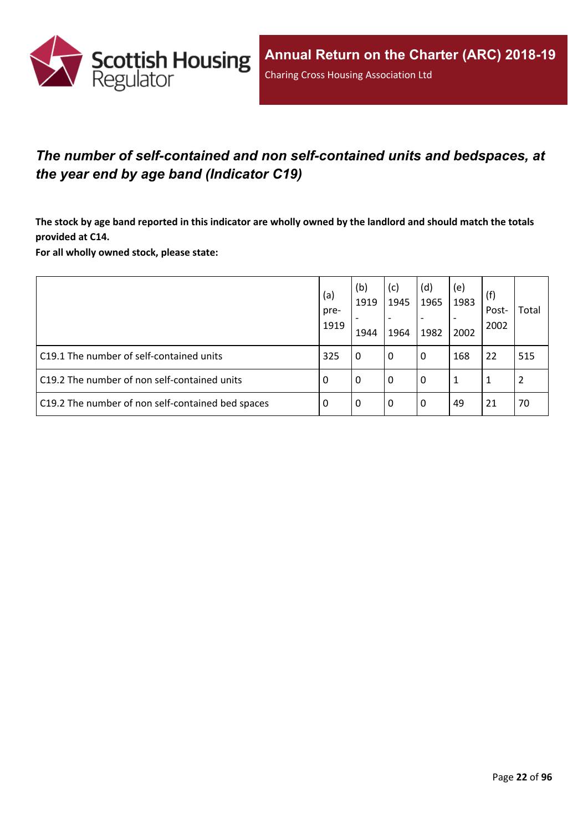

## <span id="page-21-0"></span>*The number of self-contained and non self-contained units and bedspaces, at the year end by age band (Indicator C19)*

The stock by age band reported in this indicator are wholly owned by the landlord and should match the totals **provided at C14.**

**For all wholly owned stock, please state:**

|                                                   | (a)<br>pre-<br>1919 | (b)<br>1919<br>1944 | (c)<br>1945<br>$\overline{\phantom{a}}$<br>1964 | (d)<br>1965<br>1982 | (e)<br>1983<br>2002 | (f)<br>Post-<br>2002 | Total |
|---------------------------------------------------|---------------------|---------------------|-------------------------------------------------|---------------------|---------------------|----------------------|-------|
| C19.1 The number of self-contained units          | 325                 | 0                   | l 0                                             | 0                   | 168                 | 22                   | 515   |
| C19.2 The number of non self-contained units      | -0                  | 0                   | l 0                                             | 0                   | 1                   |                      | 2     |
| C19.2 The number of non self-contained bed spaces | -0                  | 0                   | l 0                                             | 0                   | 49                  | 21                   | 70    |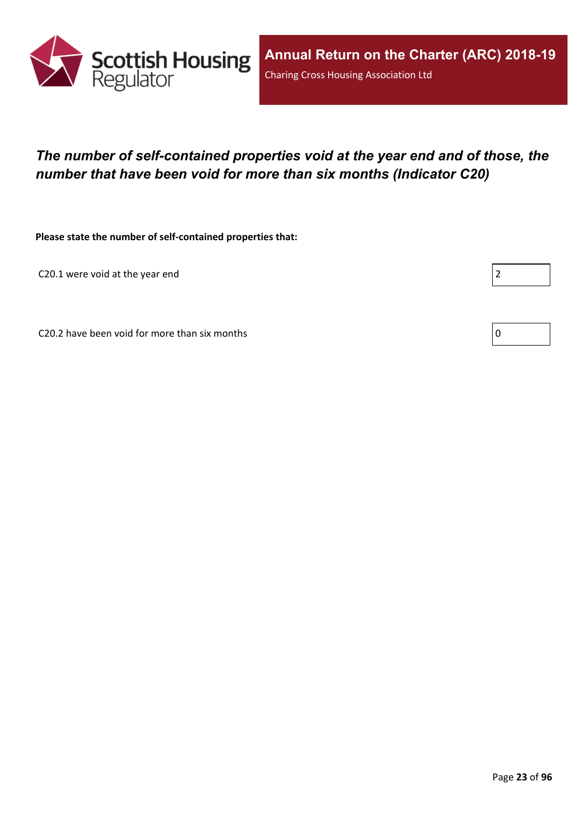

## <span id="page-22-0"></span>*The number of self-contained properties void at the year end and of those, the number that have been void for more than six months (Indicator C20)*

**Please state the number of self-contained properties that:**

C20.1 were void at the year end

Г

C20.2 have been void for more than six months  $\vert 0 \rangle$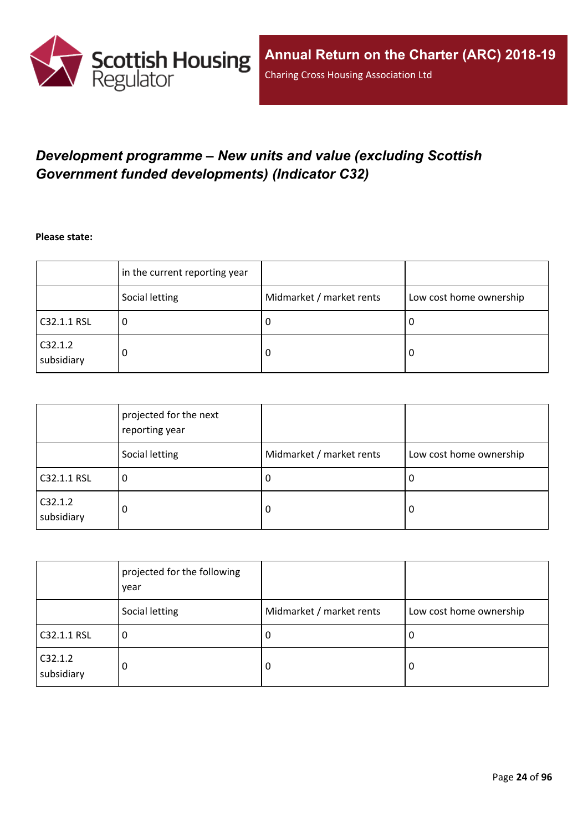

## <span id="page-23-0"></span>*Development programme – New units and value (excluding Scottish Government funded developments) (Indicator C32)*

**Please state:**

|                       | in the current reporting year |                          |                         |
|-----------------------|-------------------------------|--------------------------|-------------------------|
|                       | Social letting                | Midmarket / market rents | Low cost home ownership |
| C32.1.1 RSL           | u                             | υ                        | ∣U                      |
| C32.1.2<br>subsidiary | 0                             | υ                        | O                       |

|                       | projected for the next<br>reporting year |                          |                         |
|-----------------------|------------------------------------------|--------------------------|-------------------------|
|                       | Social letting                           | Midmarket / market rents | Low cost home ownership |
| C32.1.1 RSL           | 0                                        | -U                       | 0                       |
| C32.1.2<br>subsidiary | 0                                        | -0                       | 0                       |

|                       | projected for the following<br>year |                          |                         |
|-----------------------|-------------------------------------|--------------------------|-------------------------|
|                       | Social letting                      | Midmarket / market rents | Low cost home ownership |
| C32.1.1 RSL           | 0                                   | -U                       | 0                       |
| C32.1.2<br>subsidiary | 0                                   | -0                       | 0                       |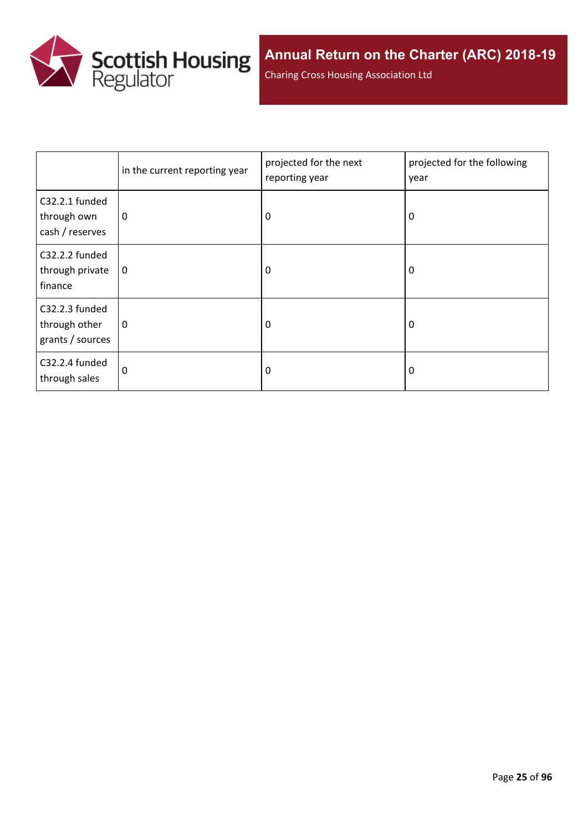

Charing Cross Housing Association Ltd

|                                                     | in the current reporting year | projected for the next<br>reporting year | projected for the following<br>year |
|-----------------------------------------------------|-------------------------------|------------------------------------------|-------------------------------------|
| C32.2.1 funded<br>through own<br>cash / reserves    | 0                             | 0                                        | 0                                   |
| C32.2.2 funded<br>through private<br>finance        | $\mathbf 0$                   | 0                                        | 0                                   |
| C32.2.3 funded<br>through other<br>grants / sources | 0                             | 0                                        | 0                                   |
| C32.2.4 funded<br>through sales                     | 0                             | 0                                        | 0                                   |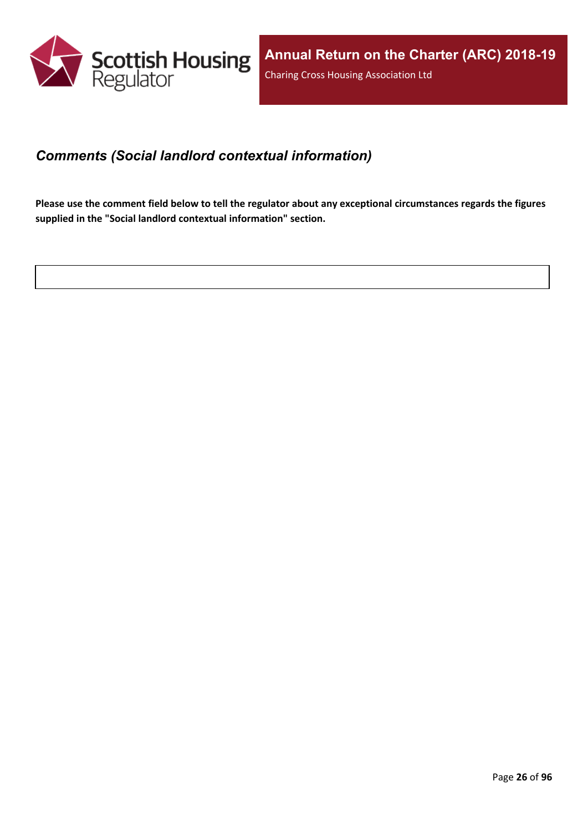

#### <span id="page-25-0"></span>*Comments (Social landlord contextual information)*

Please use the comment field below to tell the regulator about any exceptional circumstances regards the figures **supplied in the "Social landlord contextual information" section.**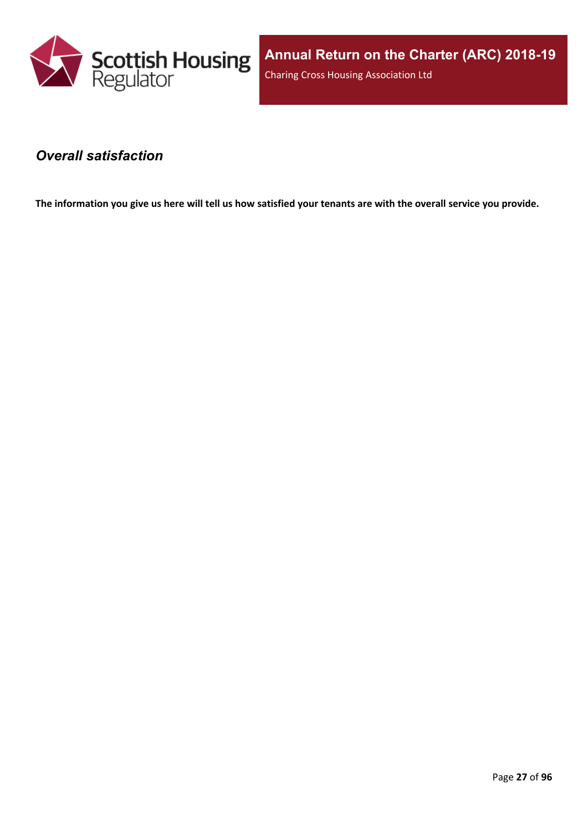

#### <span id="page-26-0"></span>*Overall satisfaction*

The information you give us here will tell us how satisfied your tenants are with the overall service you provide.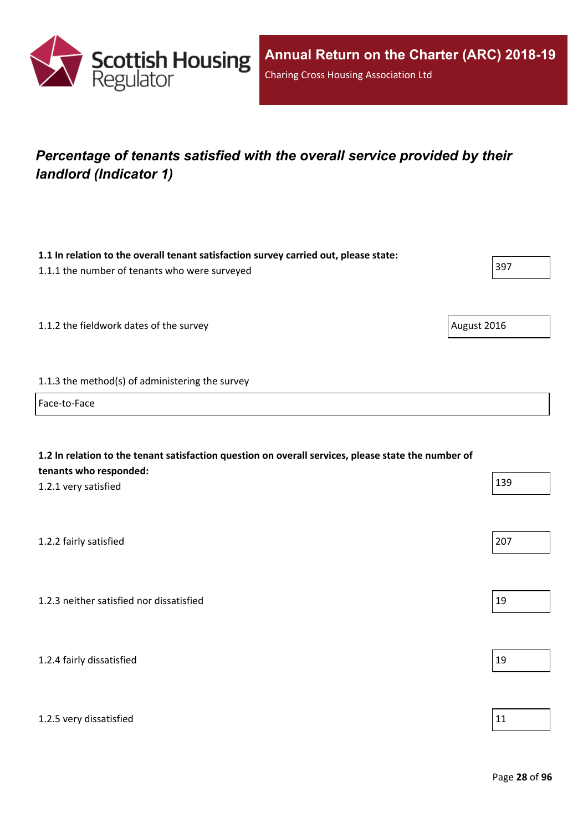

## <span id="page-27-0"></span>*Percentage of tenants satisfied with the overall service provided by their landlord (Indicator 1)*

| 1.1 In relation to the overall tenant satisfaction survey carried out, please state:<br>1.1.1 the number of tenants who were surveyed                 | 397         |
|-------------------------------------------------------------------------------------------------------------------------------------------------------|-------------|
| 1.1.2 the fieldwork dates of the survey                                                                                                               | August 2016 |
| 1.1.3 the method(s) of administering the survey                                                                                                       |             |
| Face-to-Face                                                                                                                                          |             |
| 1.2 In relation to the tenant satisfaction question on overall services, please state the number of<br>tenants who responded:<br>1.2.1 very satisfied | 139         |
| 1.2.2 fairly satisfied                                                                                                                                | 207         |
| 1.2.3 neither satisfied nor dissatisfied                                                                                                              | 19          |
| 1.2.4 fairly dissatisfied                                                                                                                             | 19          |
| 1.2.5 very dissatisfied                                                                                                                               | 11          |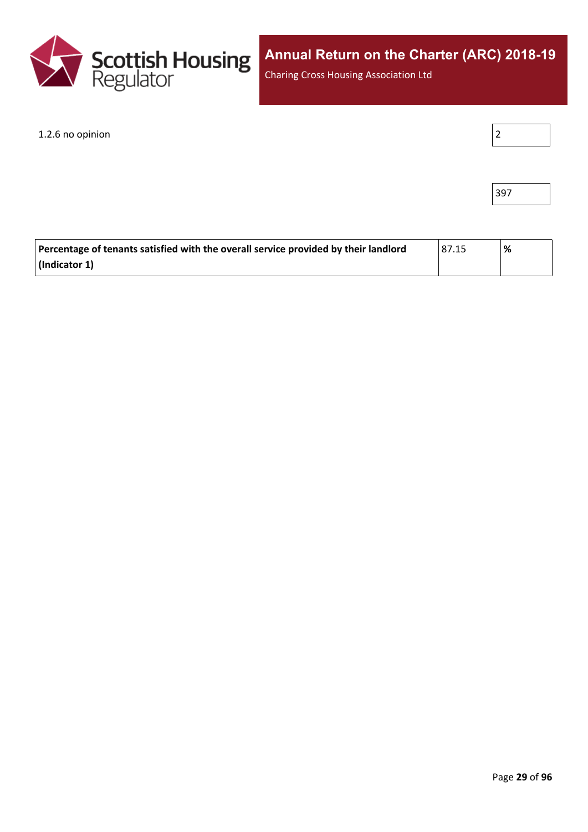

Charing Cross Housing Association Ltd

1.2.6 no opinion

|--|

| ۰.<br>×<br>×<br>۰, |  |
|--------------------|--|
|--------------------|--|

| Percentage of tenants satisfied with the overall service provided by their landlord | 87.15 | '% |
|-------------------------------------------------------------------------------------|-------|----|
| $\vert$ (Indicator 1)                                                               |       |    |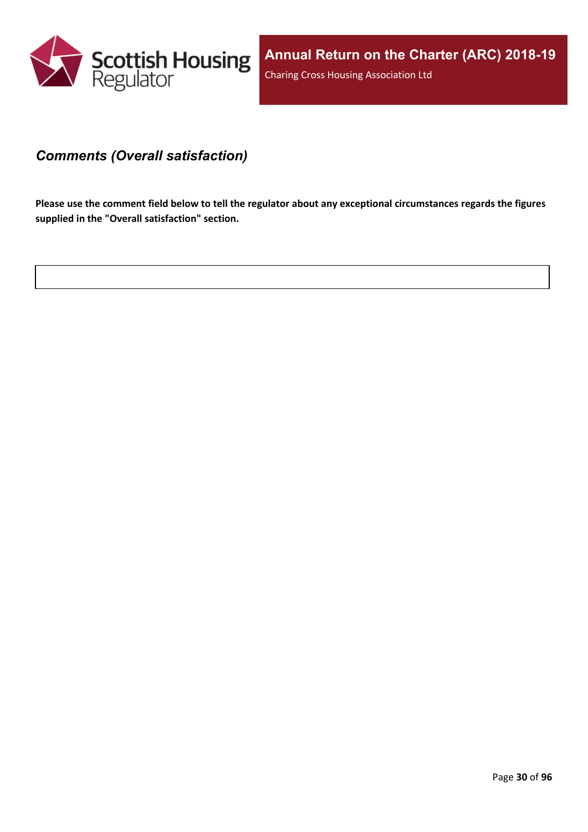

#### <span id="page-29-0"></span>*Comments (Overall satisfaction)*

Please use the comment field below to tell the regulator about any exceptional circumstances regards the figures **supplied in the "Overall satisfaction" section.**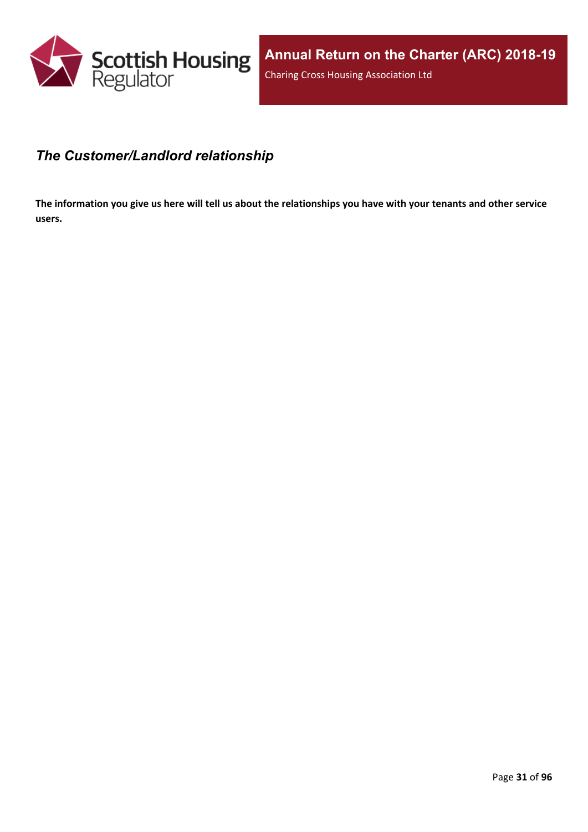

#### <span id="page-30-0"></span>*The Customer/Landlord relationship*

The information you give us here will tell us about the relationships you have with your tenants and other service **users.**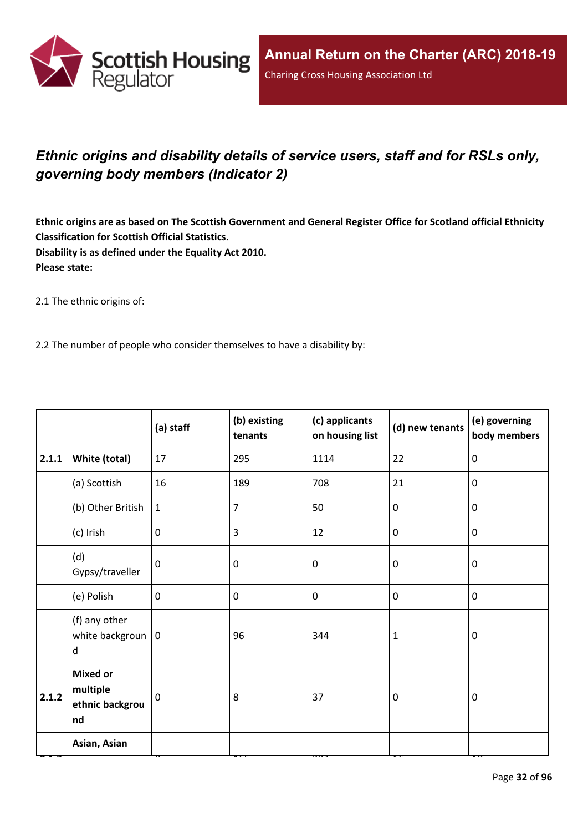

## <span id="page-31-0"></span>*Ethnic origins and disability details of service users, staff and for RSLs only, governing body members (Indicator 2)*

Ethnic origins are as based on The Scottish Government and General Register Office for Scotland official Ethnicity **Classification for Scottish Official Statistics. Disability is as defined under the Equality Act 2010. Please state:**

2.1 The ethnic origins of:

2.2 The number of people who consider themselves to have a disability by:

|       |                                                      | (a) staff    | (b) existing<br>tenants | (c) applicants<br>on housing list | (d) new tenants  | (e) governing<br>body members |
|-------|------------------------------------------------------|--------------|-------------------------|-----------------------------------|------------------|-------------------------------|
| 2.1.1 | White (total)                                        | 17           | 295                     | 1114                              | 22               | $\mathbf 0$                   |
|       | (a) Scottish                                         | 16           | 189                     | 708                               | 21               | $\mathbf 0$                   |
|       | (b) Other British                                    | $\mathbf{1}$ | 7                       | 50                                | $\mathbf 0$      | $\mathbf 0$                   |
|       | (c) Irish                                            | $\mathbf 0$  | 3                       | 12                                | $\mathbf 0$      | $\pmb{0}$                     |
|       | (d)<br>Gypsy/traveller                               | $\mathbf 0$  | 0                       | $\mathbf 0$                       | $\mathbf 0$      | $\mathbf 0$                   |
|       | (e) Polish                                           | $\mathbf 0$  | $\mathbf 0$             | $\pmb{0}$                         | $\mathbf 0$      | $\pmb{0}$                     |
|       | (f) any other<br>white backgroun $ 0$<br>d           |              | 96                      | 344                               | $\mathbf 1$      | $\pmb{0}$                     |
| 2.1.2 | <b>Mixed or</b><br>multiple<br>ethnic backgrou<br>nd | 0            | 8                       | 37                                | $\boldsymbol{0}$ | $\boldsymbol{0}$              |
|       | Asian, Asian                                         |              |                         |                                   |                  |                               |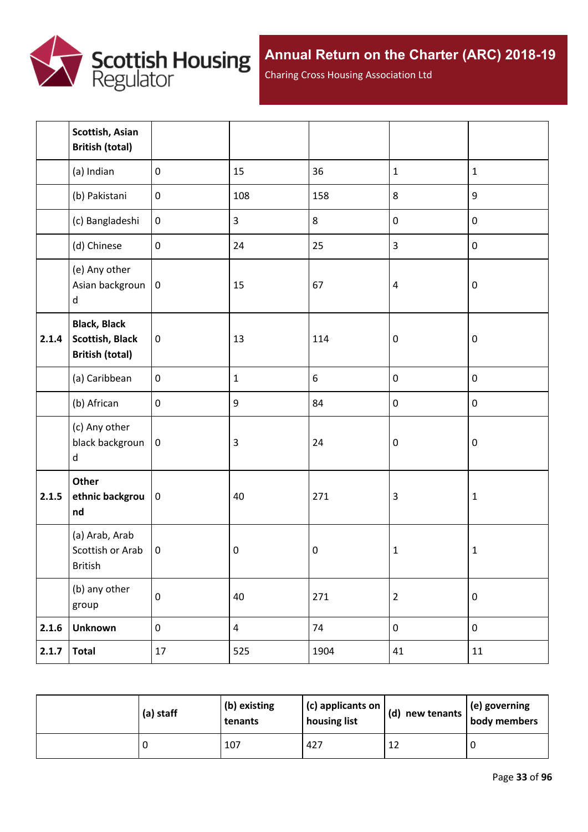

Charing Cross Housing Association Ltd

|       | Scottish, Asian<br><b>British (total)</b>                               |                  |                  |                  |                |                  |
|-------|-------------------------------------------------------------------------|------------------|------------------|------------------|----------------|------------------|
|       | (a) Indian                                                              | $\mathbf 0$      | 15               | 36               | $\mathbf{1}$   | $\mathbf{1}$     |
|       | (b) Pakistani                                                           | $\mathbf 0$      | 108              | 158              | 8              | 9                |
|       | (c) Bangladeshi                                                         | $\boldsymbol{0}$ | 3                | 8                | $\pmb{0}$      | $\pmb{0}$        |
|       | (d) Chinese                                                             | $\boldsymbol{0}$ | 24               | 25               | $\overline{3}$ | $\pmb{0}$        |
|       | (e) Any other<br>Asian backgroun<br>$\mathsf d$                         | $\overline{0}$   | 15               | 67               | 4              | $\pmb{0}$        |
| 2.1.4 | <b>Black, Black</b><br><b>Scottish, Black</b><br><b>British (total)</b> | $\mathbf 0$      | 13               | 114              | $\pmb{0}$      | $\pmb{0}$        |
|       | (a) Caribbean                                                           | $\pmb{0}$        | $\mathbf{1}$     | $\boldsymbol{6}$ | $\pmb{0}$      | $\pmb{0}$        |
|       | (b) African                                                             | $\pmb{0}$        | $\boldsymbol{9}$ | 84               | $\pmb{0}$      | $\pmb{0}$        |
|       | (c) Any other<br>black backgroun<br>d                                   | $\overline{0}$   | $\mathsf{3}$     | 24               | $\pmb{0}$      | $\pmb{0}$        |
| 2.1.5 | <b>Other</b><br>ethnic backgrou<br>nd                                   | $\overline{0}$   | 40               | 271              | $\mathbf{3}$   | $\mathbf{1}$     |
|       | (a) Arab, Arab<br>Scottish or Arab<br><b>British</b>                    | $\bf{0}$         | $\pmb{0}$        | $\pmb{0}$        | $\mathbf 1$    | $\mathbf 1$      |
|       | (b) any other<br>group                                                  | $\pmb{0}$        | 40               | 271              | $\mathbf 2$    | $\pmb{0}$        |
| 2.1.6 | <b>Unknown</b>                                                          | $\pmb{0}$        | $\overline{4}$   | 74               | $\pmb{0}$      | $\boldsymbol{0}$ |
| 2.1.7 | <b>Total</b>                                                            | 17               | 525              | 1904             | 41             | $11\,$           |

| (a) staff | (b) existing<br>tenants | $\vert$ (c) applicants on<br>housing list | $\vert$ (d) new tenants $\vert$ . | $\vert$ (e) governing<br>body members |
|-----------|-------------------------|-------------------------------------------|-----------------------------------|---------------------------------------|
|           | 107                     | 427                                       | 12                                |                                       |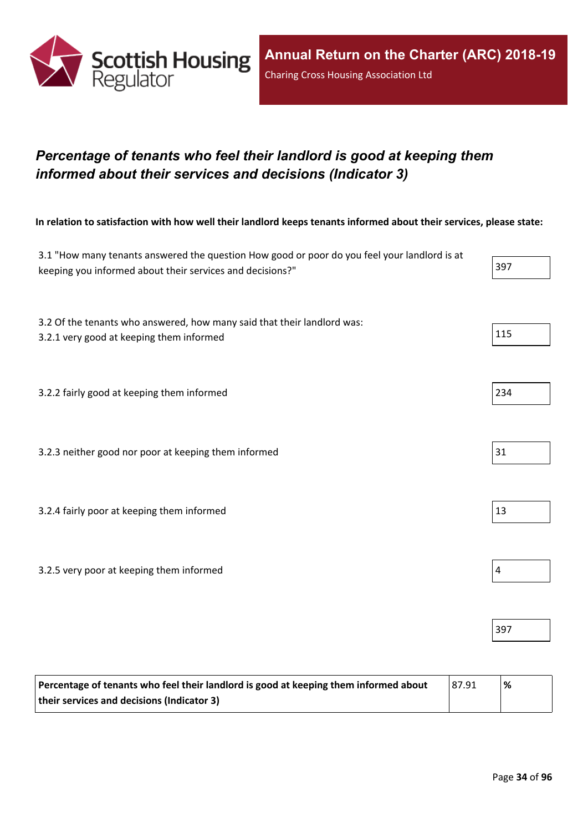

## <span id="page-33-0"></span>*Percentage of tenants who feel their landlord is good at keeping them informed about their services and decisions (Indicator 3)*

In relation to satisfaction with how well their landlord keeps tenants informed about their services, please state:

| 3.1 "How many tenants answered the question How good or poor do you feel your landlord is at<br>keeping you informed about their services and decisions?" | 397            |
|-----------------------------------------------------------------------------------------------------------------------------------------------------------|----------------|
| 3.2 Of the tenants who answered, how many said that their landlord was:<br>3.2.1 very good at keeping them informed                                       | 115            |
| 3.2.2 fairly good at keeping them informed                                                                                                                | 234            |
| 3.2.3 neither good nor poor at keeping them informed                                                                                                      | 31             |
| 3.2.4 fairly poor at keeping them informed                                                                                                                | 13             |
| 3.2.5 very poor at keeping them informed                                                                                                                  | $\overline{4}$ |
|                                                                                                                                                           | 397            |

| Percentage of tenants who feel their landlord is good at keeping them informed about | 87.91 | % |
|--------------------------------------------------------------------------------------|-------|---|
| their services and decisions (Indicator 3)                                           |       |   |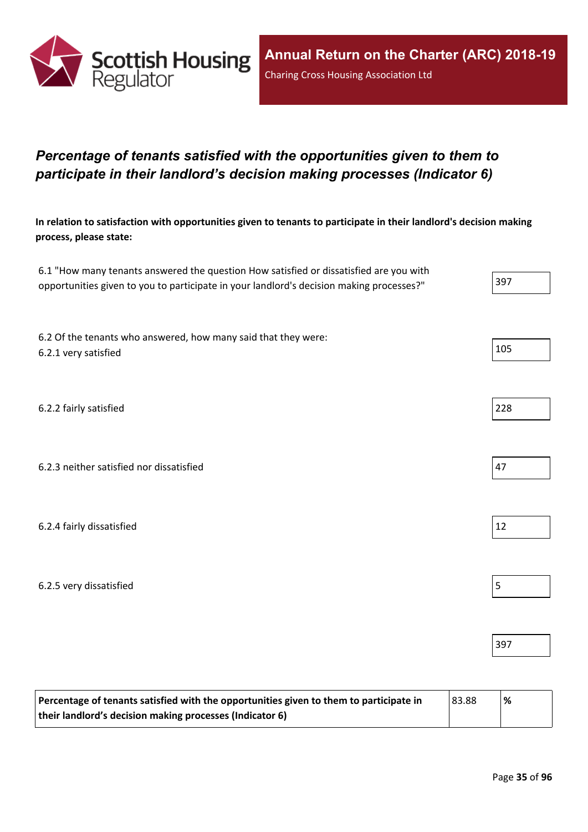

## <span id="page-34-0"></span>*Percentage of tenants satisfied with the opportunities given to them to participate in their landlord's decision making processes (Indicator 6)*

In relation to satisfaction with opportunities given to tenants to participate in their landlord's decision making **process, please state:**

| 6.1 "How many tenants answered the question How satisfied or dissatisfied are you with   |     |
|------------------------------------------------------------------------------------------|-----|
| opportunities given to you to participate in your landlord's decision making processes?" | 397 |

6.2 Of the tenants who answered, how many said that they were: 6.2.1 very satisfied 105

6.2.2 fairly satisfied 228

| 6.2.3 neither satisfied nor dissatisfied |
|------------------------------------------|
|------------------------------------------|

6.2.4 fairly dissatisfied  $\vert$  12

6.2.5 very dissatisfied 5

| Percentage of tenants satisfied with the opportunities given to them to participate in | 83.88 | % |
|----------------------------------------------------------------------------------------|-------|---|
| their landlord's decision making processes (Indicator 6)                               |       |   |



397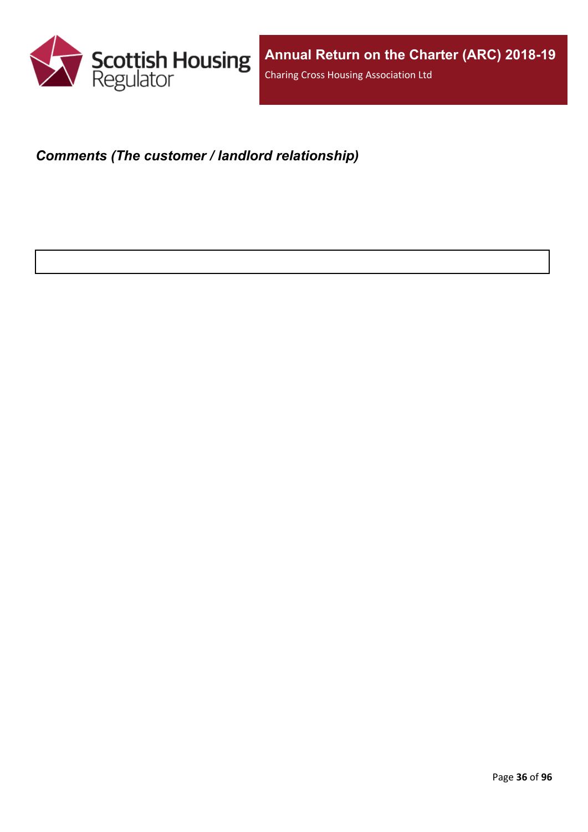

### <span id="page-35-0"></span>*Comments (The customer / landlord relationship)*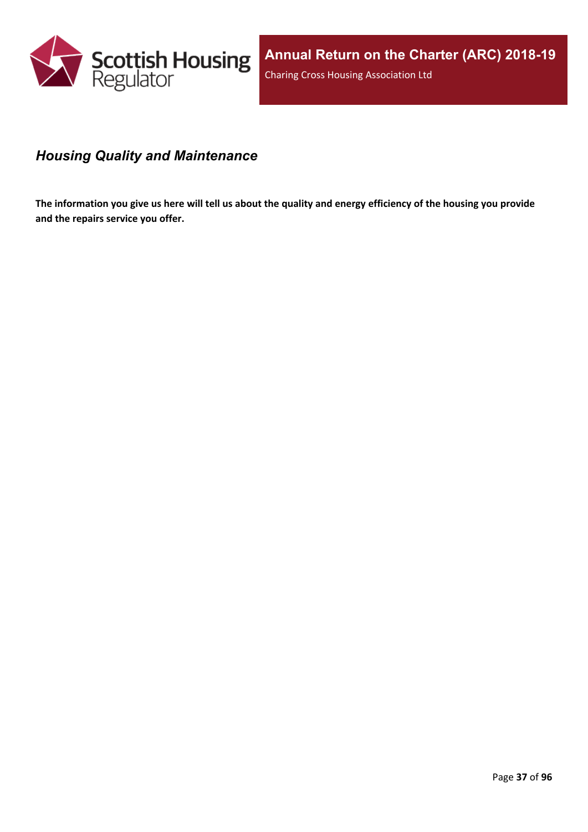

### *Housing Quality and Maintenance*

The information you give us here will tell us about the quality and energy efficiency of the housing you provide **and the repairs service you offer.**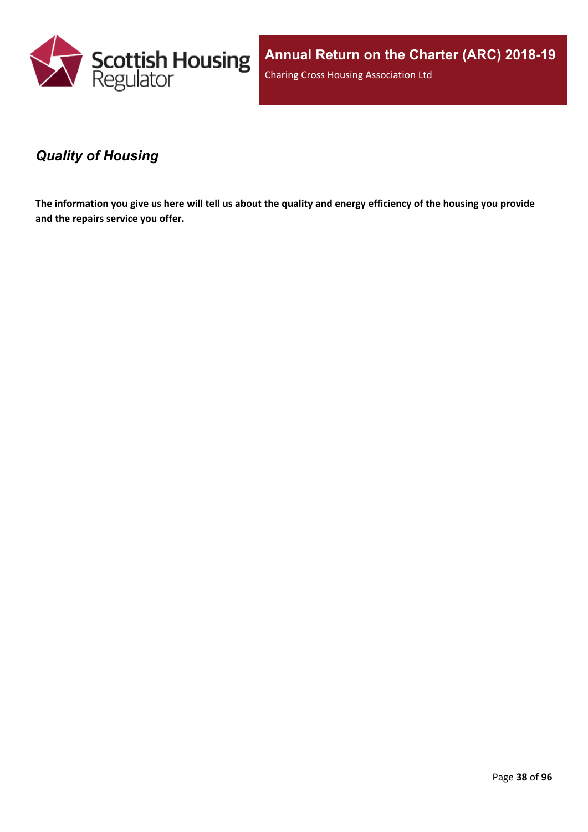

## *Quality of Housing*

The information you give us here will tell us about the quality and energy efficiency of the housing you provide **and the repairs service you offer.**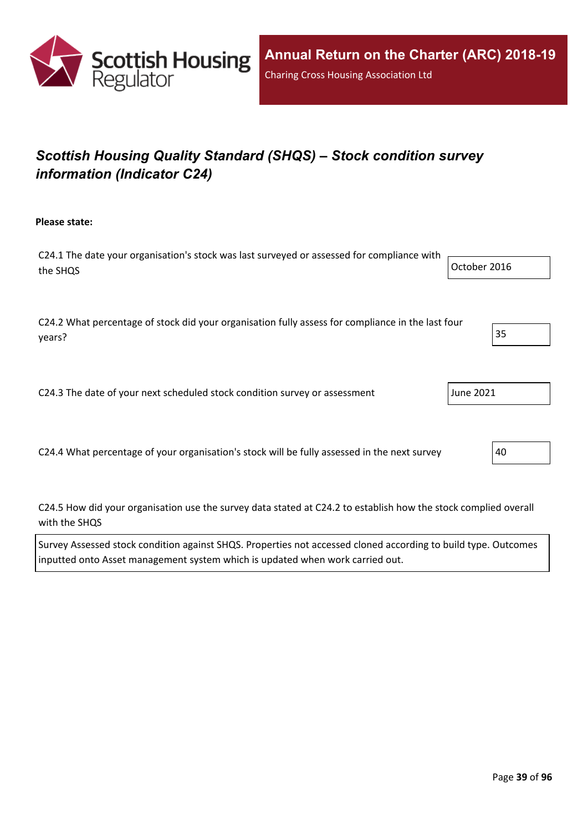

# *Scottish Housing Quality Standard (SHQS) – Stock condition survey information (Indicator C24)*

**Please state:**

| C24.1 The date your organisation's stock was last surveyed or assessed for compliance with |              |
|--------------------------------------------------------------------------------------------|--------------|
| the SHQS                                                                                   | October 2016 |
|                                                                                            |              |

C24.2 What percentage of stock did your organisation fully assess for compliance in the last four years? 35

C24.3 The date of your next scheduled stock condition survey or assessment June 2021

C24.4 What percentage of your organisation's stock will be fully assessed in the next survey  $\vert$ 40

C24.5 How did your organisation use the survey data stated at C24.2 to establish how the stock complied overall with the SHQS

Survey Assessed stock condition against SHQS. Properties not accessed cloned according to build type. Outcomes inputted onto Asset management system which is updated when work carried out.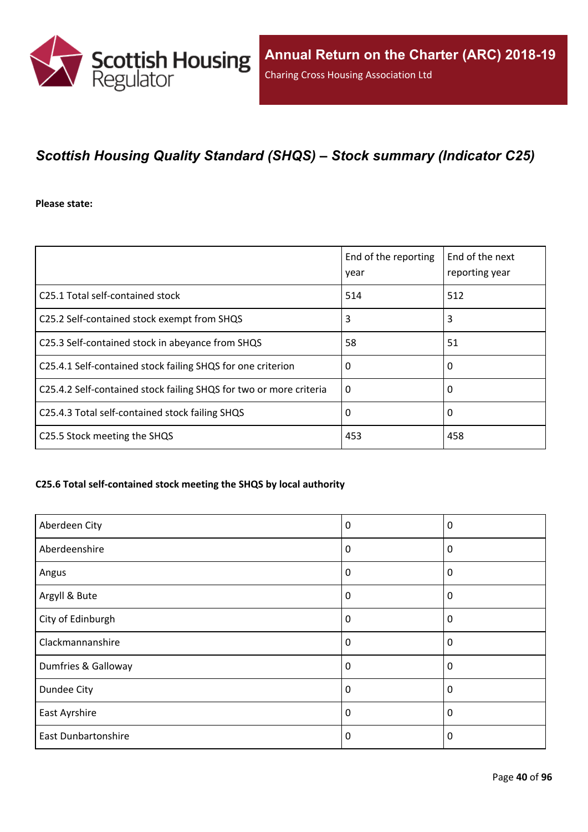

## *Scottish Housing Quality Standard (SHQS) – Stock summary (Indicator C25)*

#### **Please state:**

|                                                                    | End of the reporting<br>year | End of the next<br>reporting year |
|--------------------------------------------------------------------|------------------------------|-----------------------------------|
| C25.1 Total self-contained stock                                   | 514                          | 512                               |
| C25.2 Self-contained stock exempt from SHQS                        | 3                            | 3                                 |
| C25.3 Self-contained stock in abeyance from SHQS                   | 58                           | 51                                |
| C25.4.1 Self-contained stock failing SHQS for one criterion        | 0                            | 0                                 |
| C25.4.2 Self-contained stock failing SHQS for two or more criteria | $\Omega$                     | 0                                 |
| C25.4.3 Total self-contained stock failing SHQS                    | 0                            | 0                                 |
| C25.5 Stock meeting the SHQS                                       | 453                          | 458                               |

#### **C25.6 Total self-contained stock meeting the SHQS by local authority**

| Aberdeen City              | 0        | 0           |
|----------------------------|----------|-------------|
| Aberdeenshire              | 0        | $\mathbf 0$ |
| Angus                      | 0        | $\mathbf 0$ |
| Argyll & Bute              | 0        | 0           |
| City of Edinburgh          | 0        | $\mathbf 0$ |
| Clackmannanshire           | 0        | 0           |
| Dumfries & Galloway        | $\Omega$ | $\Omega$    |
| Dundee City                | $\Omega$ | 0           |
| East Ayrshire              | 0        | 0           |
| <b>East Dunbartonshire</b> | $\Omega$ | 0           |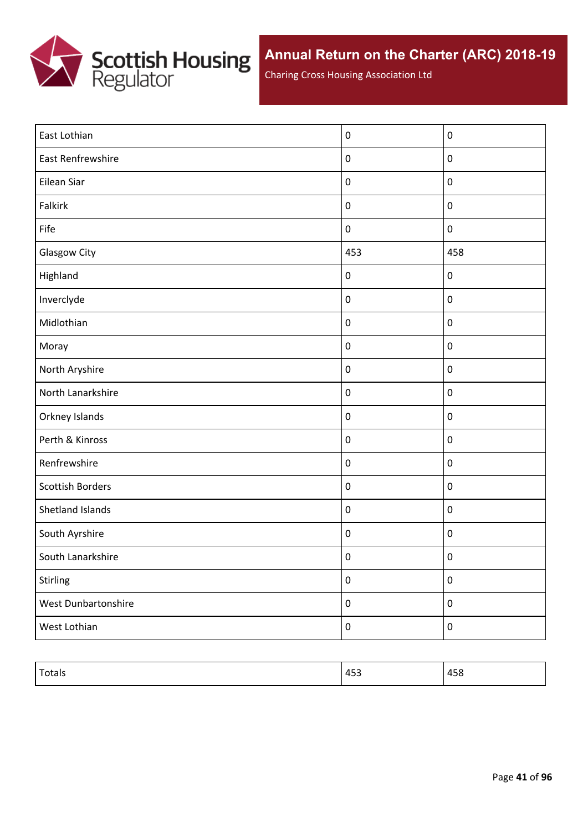

Charing Cross Housing Association Ltd

| East Lothian            | $\boldsymbol{0}$ | $\mathbf 0$ |
|-------------------------|------------------|-------------|
| East Renfrewshire       | $\boldsymbol{0}$ | $\pmb{0}$   |
| Eilean Siar             | $\boldsymbol{0}$ | $\mathbf 0$ |
| Falkirk                 | $\pmb{0}$        | $\pmb{0}$   |
| Fife                    | $\boldsymbol{0}$ | $\pmb{0}$   |
| <b>Glasgow City</b>     | 453              | 458         |
| Highland                | $\pmb{0}$        | $\pmb{0}$   |
| Inverclyde              | $\boldsymbol{0}$ | $\pmb{0}$   |
| Midlothian              | $\boldsymbol{0}$ | $\pmb{0}$   |
| Moray                   | $\boldsymbol{0}$ | $\pmb{0}$   |
| North Aryshire          | $\boldsymbol{0}$ | $\pmb{0}$   |
| North Lanarkshire       | $\boldsymbol{0}$ | $\pmb{0}$   |
| Orkney Islands          | $\boldsymbol{0}$ | $\pmb{0}$   |
| Perth & Kinross         | $\boldsymbol{0}$ | $\pmb{0}$   |
| Renfrewshire            | $\boldsymbol{0}$ | $\pmb{0}$   |
| <b>Scottish Borders</b> | $\boldsymbol{0}$ | $\mathbf 0$ |
| Shetland Islands        | $\boldsymbol{0}$ | $\mathbf 0$ |
| South Ayrshire          | $\boldsymbol{0}$ | $\mathbf 0$ |
| South Lanarkshire       | $\boldsymbol{0}$ | $\pmb{0}$   |
| Stirling                | $\pmb{0}$        | $\pmb{0}$   |
| West Dunbartonshire     | $\boldsymbol{0}$ | $\pmb{0}$   |
| West Lothian            | $\pmb{0}$        | $\pmb{0}$   |
|                         |                  |             |

| .<br>otais<br> | $\epsilon$<br>$\mathbf{u}$<br>. 40-<br>$\cdot$ $-$ | $1 - C$<br>470 |
|----------------|----------------------------------------------------|----------------|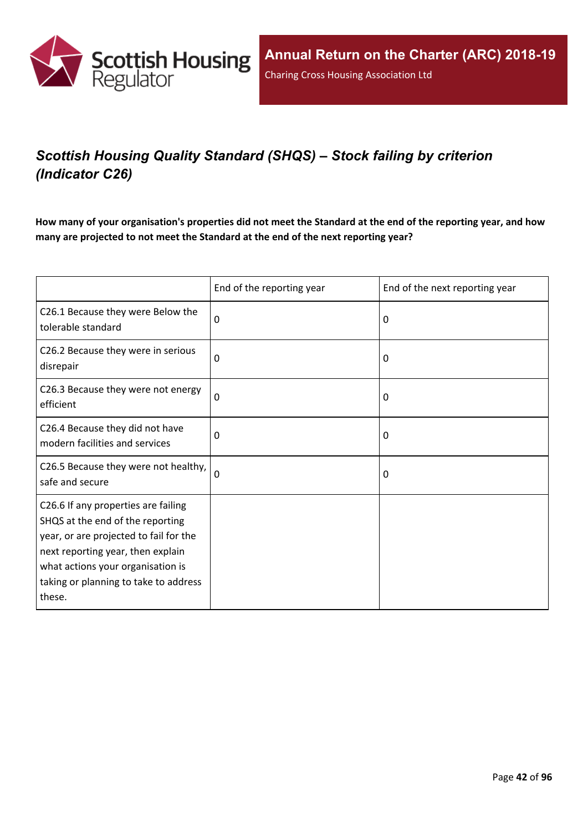

# *Scottish Housing Quality Standard (SHQS) – Stock failing by criterion (Indicator C26)*

How many of your organisation's properties did not meet the Standard at the end of the reporting year, and how **many are projected to not meet the Standard at the end of the next reporting year?**

|                                                                                                                                                                                                                                                | End of the reporting year | End of the next reporting year |
|------------------------------------------------------------------------------------------------------------------------------------------------------------------------------------------------------------------------------------------------|---------------------------|--------------------------------|
| C26.1 Because they were Below the<br>tolerable standard                                                                                                                                                                                        | 0                         | 0                              |
| C26.2 Because they were in serious<br>disrepair                                                                                                                                                                                                | 0                         | 0                              |
| C26.3 Because they were not energy<br>efficient                                                                                                                                                                                                | $\mathbf 0$               | 0                              |
| C26.4 Because they did not have<br>modern facilities and services                                                                                                                                                                              | $\mathbf 0$               | 0                              |
| C26.5 Because they were not healthy,<br>safe and secure                                                                                                                                                                                        | $\Omega$                  | 0                              |
| C26.6 If any properties are failing<br>SHQS at the end of the reporting<br>year, or are projected to fail for the<br>next reporting year, then explain<br>what actions your organisation is<br>taking or planning to take to address<br>these. |                           |                                |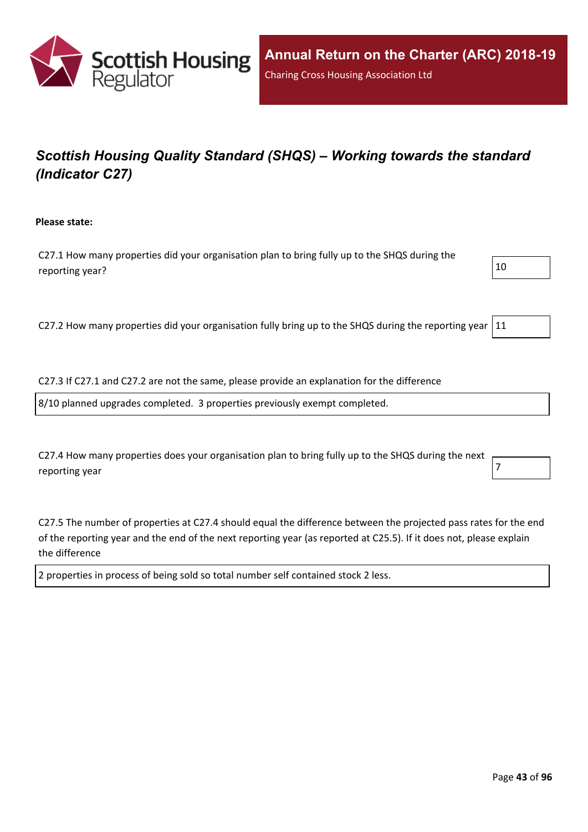

# *Scottish Housing Quality Standard (SHQS) – Working towards the standard (Indicator C27)*

**Please state:**

C27.1 How many properties did your organisation plan to bring fully up to the SHQS during the reporting year?  $10$ 

C27.2 How many properties did your organisation fully bring up to the SHQS during the reporting year  $|11$ 

C27.3 If C27.1 and C27.2 are not the same, please provide an explanation for the difference

8/10 planned upgrades completed. 3 properties previously exempt completed.

C27.4 How many properties does your organisation plan to bring fully up to the SHQS during the next reporting year  $\begin{bmatrix} 7 \end{bmatrix}$ 

C27.5 The number of properties at C27.4 should equal the difference between the projected pass rates for the end of the reporting year and the end of the next reporting year (as reported at C25.5). If it does not, please explain the difference

2 properties in process of being sold so total number self contained stock 2 less.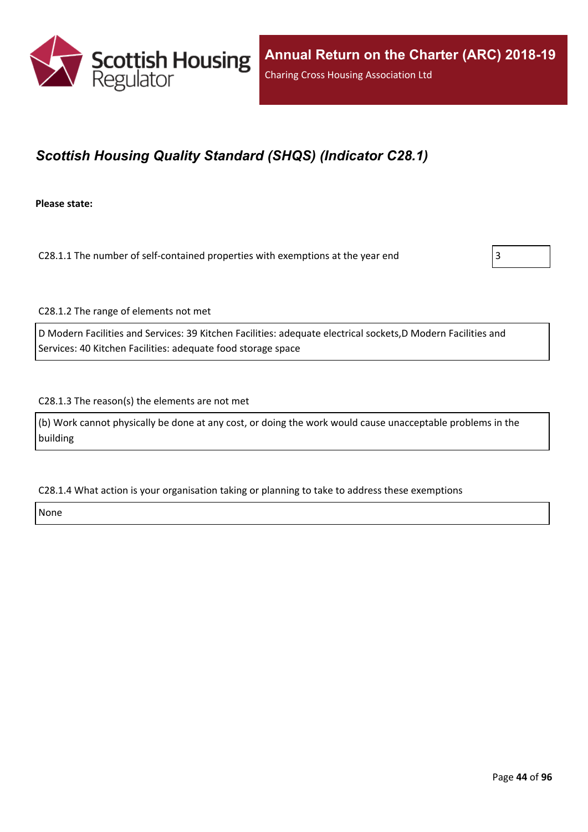

## *Scottish Housing Quality Standard (SHQS) (Indicator C28.1)*

**Please state:**

C28.1.1 The number of self-contained properties with exemptions at the year end  $\vert$ 3



C28.1.2 The range of elements not met

D Modern Facilities and Services: 39 Kitchen Facilities: adequate electrical sockets,D Modern Facilities and Services: 40 Kitchen Facilities: adequate food storage space

C28.1.3 The reason(s) the elements are not met

(b) Work cannot physically be done at any cost, or doing the work would cause unacceptable problems in the building

C28.1.4 What action is your organisation taking or planning to take to address these exemptions

None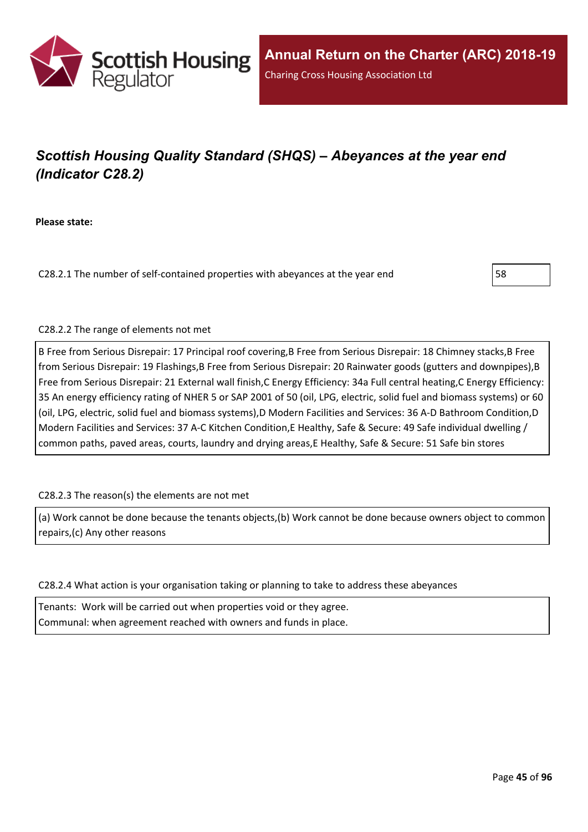

# *Scottish Housing Quality Standard (SHQS) – Abeyances at the year end (Indicator C28.2)*

**Please state:**

C28.2.1 The number of self-contained properties with abeyances at the year end  $\vert$  58

C28.2.2 The range of elements not met

B Free from Serious Disrepair: 17 Principal roof covering,B Free from Serious Disrepair: 18 Chimney stacks,B Free from Serious Disrepair: 19 Flashings, B Free from Serious Disrepair: 20 Rainwater goods (gutters and downpipes), B Free from Serious Disrepair: 21 External wall finish,C Energy Efficiency: 34a Full central heating,C Energy Efficiency: 35 An energy efficiency rating of NHER 5 or SAP 2001 of 50 (oil, LPG, electric, solid fuel and biomass systems) or 60 (oil, LPG, electric, solid fuel and biomass systems),D Modern Facilities and Services: 36 A-D Bathroom Condition,D Modern Facilities and Services: 37 A-C Kitchen Condition,E Healthy, Safe & Secure: 49 Safe individual dwelling / common paths, paved areas, courts, laundry and drying areas,E Healthy, Safe & Secure: 51 Safe bin stores

C28.2.3 The reason(s) the elements are not met

(a) Work cannot be done because the tenants objects,(b) Work cannot be done because owners object to common repairs,(c) Any other reasons

C28.2.4 What action is your organisation taking or planning to take to address these abeyances

Tenants: Work will be carried out when properties void or they agree. Communal: when agreement reached with owners and funds in place.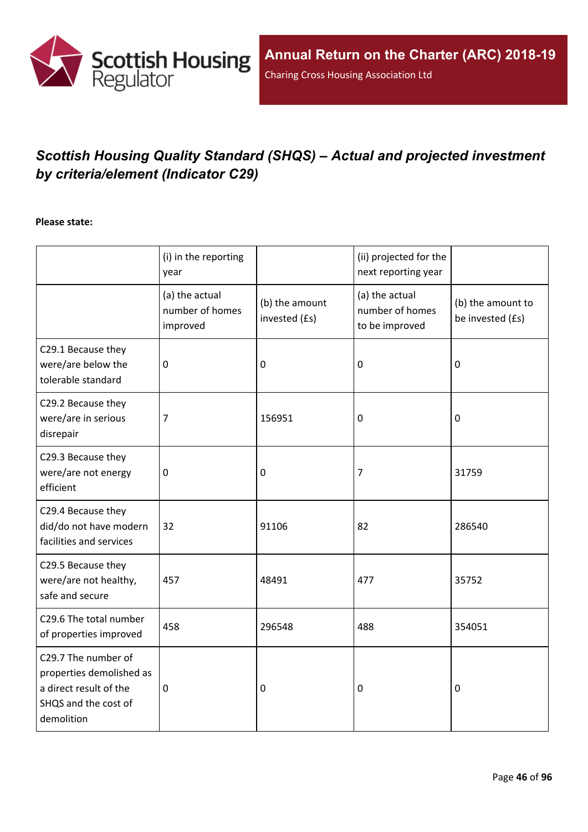

# *Scottish Housing Quality Standard (SHQS) – Actual and projected investment by criteria/element (Indicator C29)*

#### **Please state:**

|                                                                                                                 | (i) in the reporting<br>year                  |                                 | (ii) projected for the<br>next reporting year       |                                       |
|-----------------------------------------------------------------------------------------------------------------|-----------------------------------------------|---------------------------------|-----------------------------------------------------|---------------------------------------|
|                                                                                                                 | (a) the actual<br>number of homes<br>improved | (b) the amount<br>invested (£s) | (a) the actual<br>number of homes<br>to be improved | (b) the amount to<br>be invested (£s) |
| C29.1 Because they<br>were/are below the<br>tolerable standard                                                  | $\mathbf 0$                                   | 0                               | $\mathbf 0$                                         | 0                                     |
| C29.2 Because they<br>were/are in serious<br>disrepair                                                          | 7                                             | 156951                          | $\mathbf 0$                                         | 0                                     |
| C29.3 Because they<br>were/are not energy<br>efficient                                                          | 0                                             | $\mathbf 0$                     | $\overline{7}$                                      | 31759                                 |
| C29.4 Because they<br>did/do not have modern<br>facilities and services                                         | 32                                            | 91106                           | 82                                                  | 286540                                |
| C29.5 Because they<br>were/are not healthy,<br>safe and secure                                                  | 457                                           | 48491                           | 477                                                 | 35752                                 |
| C29.6 The total number<br>of properties improved                                                                | 458                                           | 296548                          | 488                                                 | 354051                                |
| C29.7 The number of<br>properties demolished as<br>a direct result of the<br>SHQS and the cost of<br>demolition | $\mathbf 0$                                   | 0                               | $\boldsymbol{0}$                                    | 0                                     |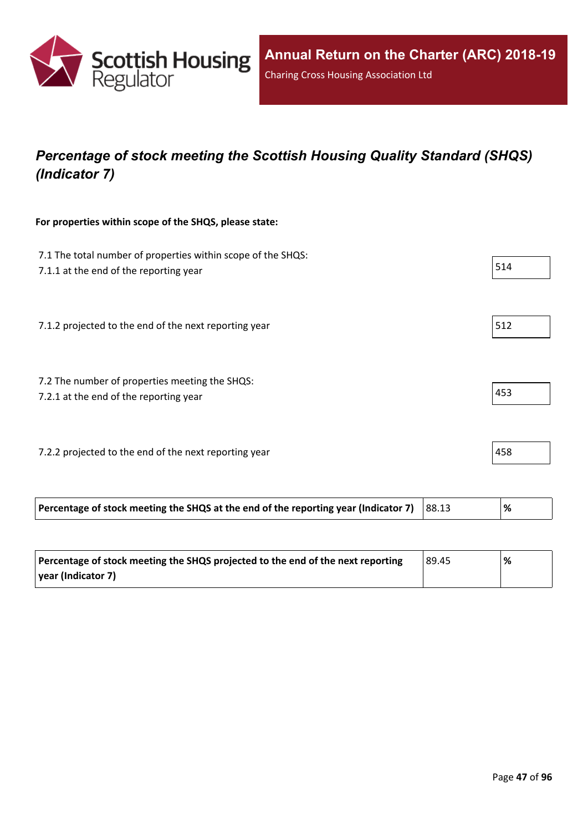

## *Percentage of stock meeting the Scottish Housing Quality Standard (SHQS) (Indicator 7)*

#### **For properties within scope of the SHQS, please state:**

| 7.1 The total number of properties within scope of the SHQS:<br>7.1.1 at the end of the reporting year | 514 |
|--------------------------------------------------------------------------------------------------------|-----|
| 7.1.2 projected to the end of the next reporting year                                                  | 512 |
| 7.2 The number of properties meeting the SHQS:<br>7.2.1 at the end of the reporting year               | 453 |
| 7.2.2 projected to the end of the next reporting year                                                  | 458 |

| Percentage of stock meeting the SHQS at the end of the reporting year (Indicator 7) |  | 88.13 |  | % |  |
|-------------------------------------------------------------------------------------|--|-------|--|---|--|
|-------------------------------------------------------------------------------------|--|-------|--|---|--|

| Percentage of stock meeting the SHQS projected to the end of the next reporting | 89.45 | % |
|---------------------------------------------------------------------------------|-------|---|
| year (Indicator 7)                                                              |       |   |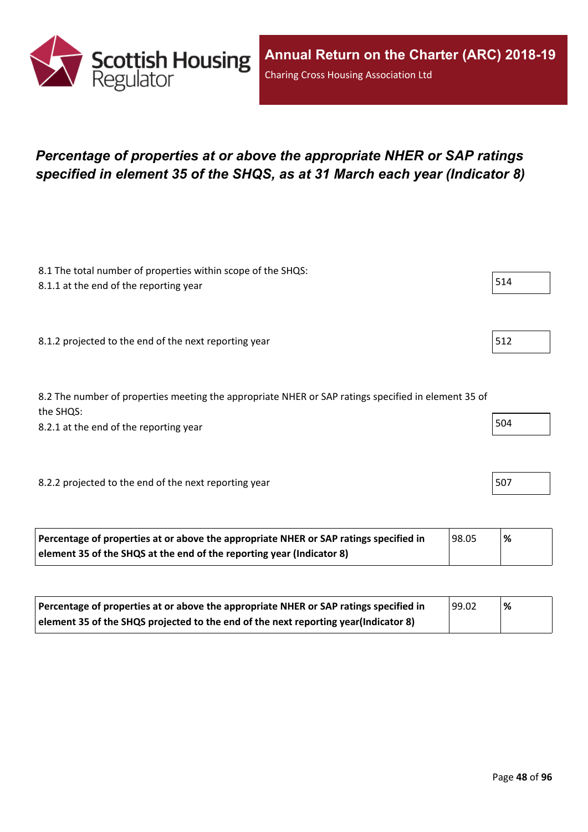

## *Percentage of properties at or above the appropriate NHER or SAP ratings specified in element 35 of the SHQS, as at 31 March each year (Indicator 8)*

| 8.1 The total number of properties within scope of the SHQS:<br>8.1.1 at the end of the reporting year                                                     | 514 |
|------------------------------------------------------------------------------------------------------------------------------------------------------------|-----|
| 8.1.2 projected to the end of the next reporting year                                                                                                      | 512 |
| 8.2 The number of properties meeting the appropriate NHER or SAP ratings specified in element 35 of<br>the SHQS:<br>8.2.1 at the end of the reporting year | 504 |
| 8.2.2 projected to the end of the next reporting year                                                                                                      | 507 |

| Percentage of properties at or above the appropriate NHER or SAP ratings specified in | 98.05 | % |
|---------------------------------------------------------------------------------------|-------|---|
| element 35 of the SHQS at the end of the reporting year (Indicator 8)                 |       |   |

| Percentage of properties at or above the appropriate NHER or SAP ratings specified in | 99.02 | % |
|---------------------------------------------------------------------------------------|-------|---|
| element 35 of the SHQS projected to the end of the next reporting year(Indicator 8)   |       |   |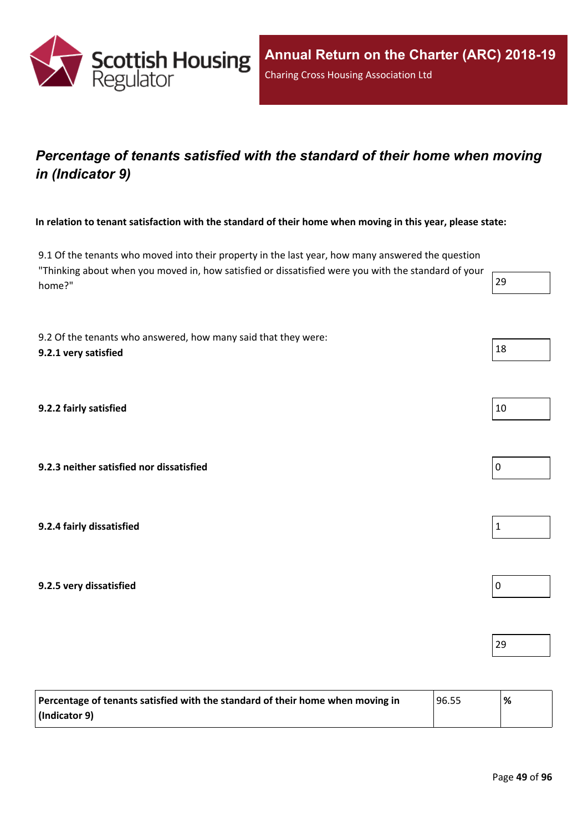

## *Percentage of tenants satisfied with the standard of their home when moving in (Indicator 9)*

In relation to tenant satisfaction with the standard of their home when moving in this year, please state:

9.1 Of the tenants who moved into their property in the last year, how many answered the question "Thinking about when you moved in, how satisfied or dissatisfied were you with the standard of your home?" 29

9.2 Of the tenants who answered, how many said that they were: **9.2.1 very** satisfied  $\left| \begin{array}{c} 18 \end{array} \right|$ 

**9.2.2 fairly satisfied** 10

**9.2.3 neither satisfied nor dissatisfied** 0

**9.2.4 fairly dissatisfied** 1

**9.2.5 very dissatisfied** 0

| Percentage of tenants satisfied with the standard of their home when moving in | 96.55 | $\%$ |
|--------------------------------------------------------------------------------|-------|------|
| $ $ (Indicator 9)                                                              |       |      |

29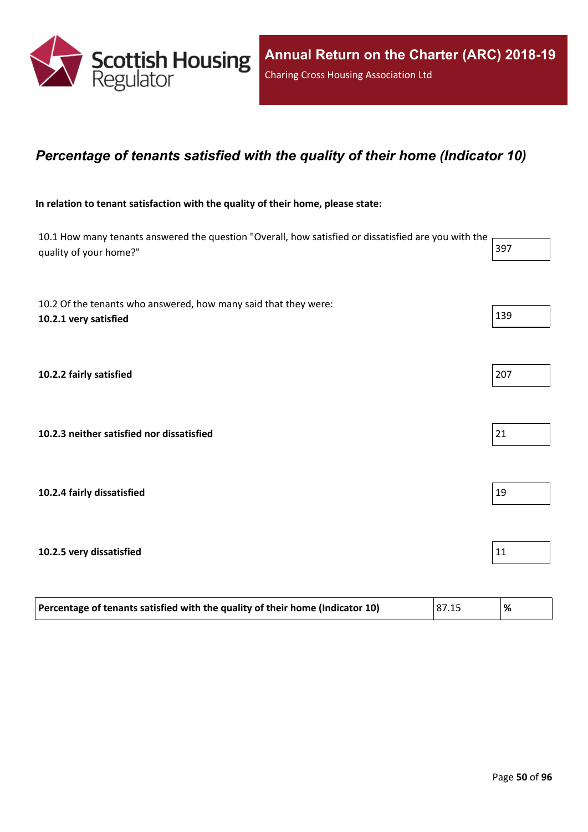

### *Percentage of tenants satisfied with the quality of their home (Indicator 10)*

#### **In relation to tenant satisfaction with the quality of their home, please state:**

| 10.1 How many tenants answered the question "Overall, how satisfied or dissatisfied are you with the<br>quality of your home?" | 397    |
|--------------------------------------------------------------------------------------------------------------------------------|--------|
| 10.2 Of the tenants who answered, how many said that they were:<br>10.2.1 very satisfied                                       | 139    |
| 10.2.2 fairly satisfied                                                                                                        | 207    |
| 10.2.3 neither satisfied nor dissatisfied                                                                                      | 21     |
| 10.2.4 fairly dissatisfied                                                                                                     | 19     |
| 10.2.5 very dissatisfied                                                                                                       | $11\,$ |
|                                                                                                                                |        |

**Percentage of tenants satisfied with the quality of their home (Indicator 10)** 87.15 **%**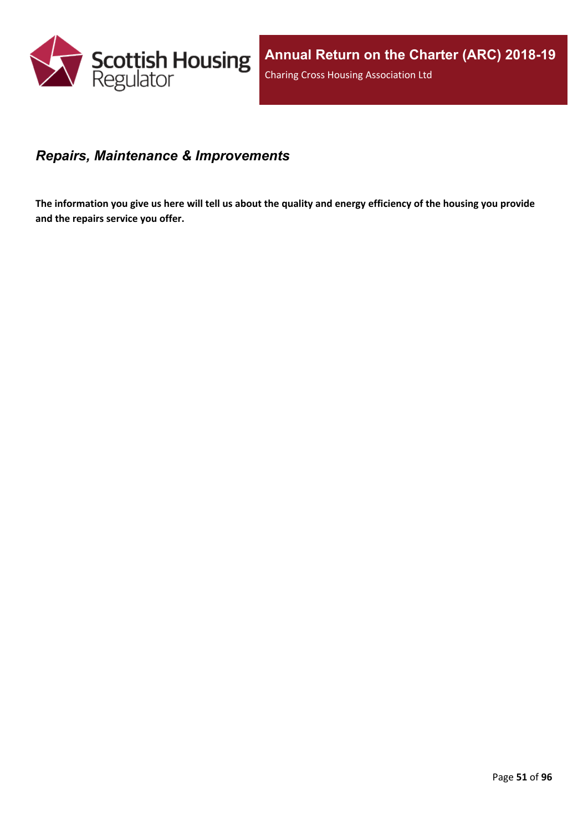

### *Repairs, Maintenance & Improvements*

The information you give us here will tell us about the quality and energy efficiency of the housing you provide **and the repairs service you offer.**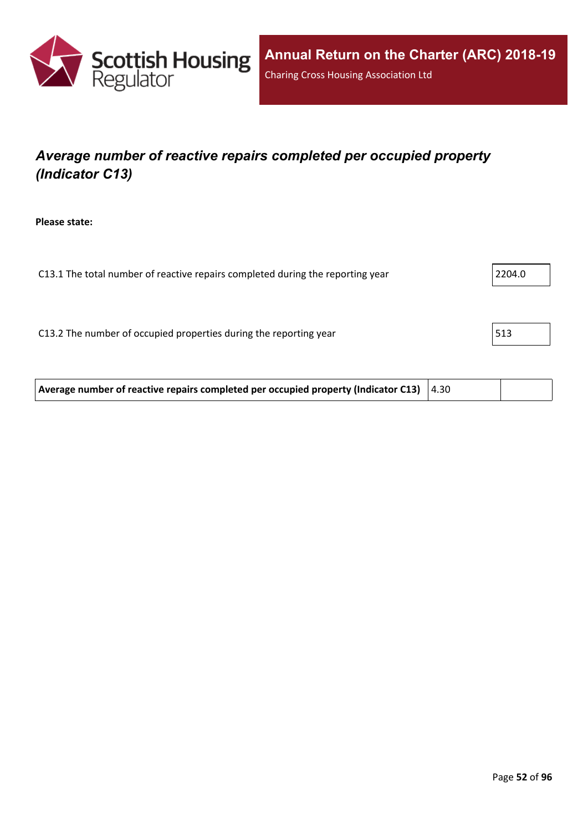

## *Average number of reactive repairs completed per occupied property (Indicator C13)*

**Please state:**

| C13.1 The total number of reactive repairs completed during the reporting year | 2204.0 |
|--------------------------------------------------------------------------------|--------|
|                                                                                |        |
|                                                                                |        |
| C13.2 The number of occupied properties during the reporting year              | 513    |
|                                                                                |        |

**Average number of reactive repairs completed per occupied property (Indicator C13)** 4.30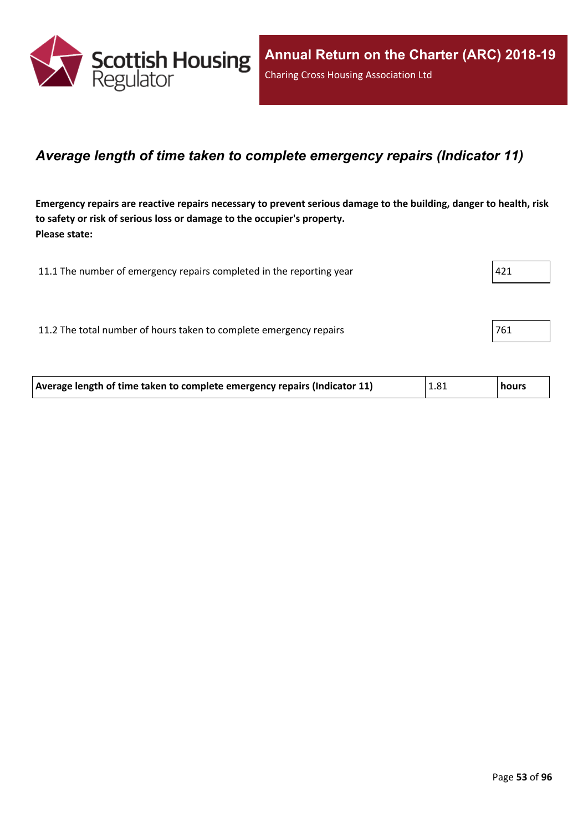

### *Average length of time taken to complete emergency repairs (Indicator 11)*

Emergency repairs are reactive repairs necessary to prevent serious damage to the building, danger to health, risk **to safety or risk of serious loss or damage to the occupier's property. Please state:**

| 11.1 The number of emergency repairs completed in the reporting year | 421 |
|----------------------------------------------------------------------|-----|
|                                                                      |     |
| 11.2 The total number of hours taken to complete emergency repairs   | 761 |
|                                                                      |     |

| 1.81<br>Average length of time taken to complete emergency repairs (Indicator 11) |  | <b>hours</b> |
|-----------------------------------------------------------------------------------|--|--------------|
|-----------------------------------------------------------------------------------|--|--------------|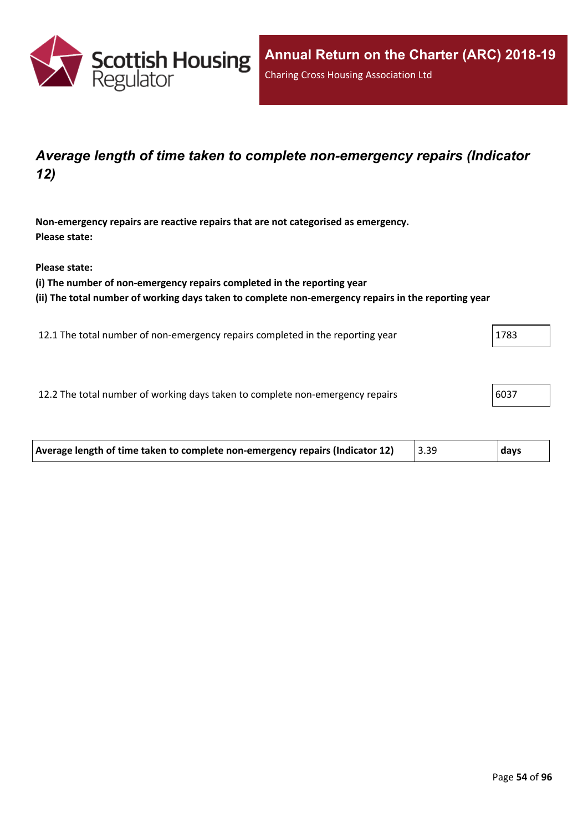

## *Average length of time taken to complete non-emergency repairs (Indicator 12)*

**Non-emergency repairs are reactive repairs that are not categorised as emergency. Please state:**

**Please state:**

**(i) The number of non-emergency repairs completed in the reporting year**

**(ii) The total number of working days taken to complete non-emergency repairs in the reporting year**

12.1 The total number of non-emergency repairs completed in the reporting year 1783

12.2 The total number of working days taken to complete non-emergency repairs  $\vert$  6037

| Average length of time taken to complete non-emergency repairs (Indicator 12) | days |
|-------------------------------------------------------------------------------|------|
|                                                                               |      |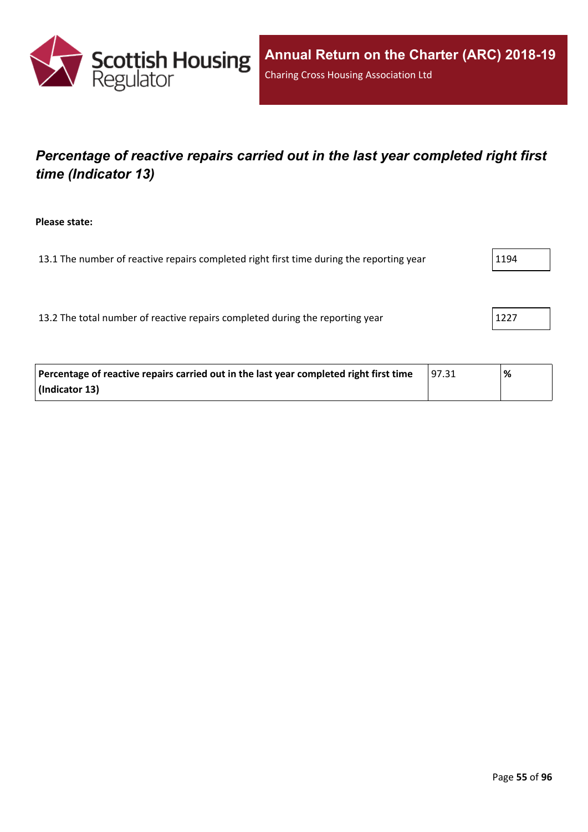

## *Percentage of reactive repairs carried out in the last year completed right first time (Indicator 13)*

#### **Please state:**

| 13.1 The number of reactive repairs completed right first time during the reporting year | 1194 |
|------------------------------------------------------------------------------------------|------|
|                                                                                          |      |

13.2 The total number of reactive repairs completed during the reporting year 1227

| Percentage of reactive repairs carried out in the last year completed right first time | 97.31 | % |
|----------------------------------------------------------------------------------------|-------|---|
| (Indicator 13)                                                                         |       |   |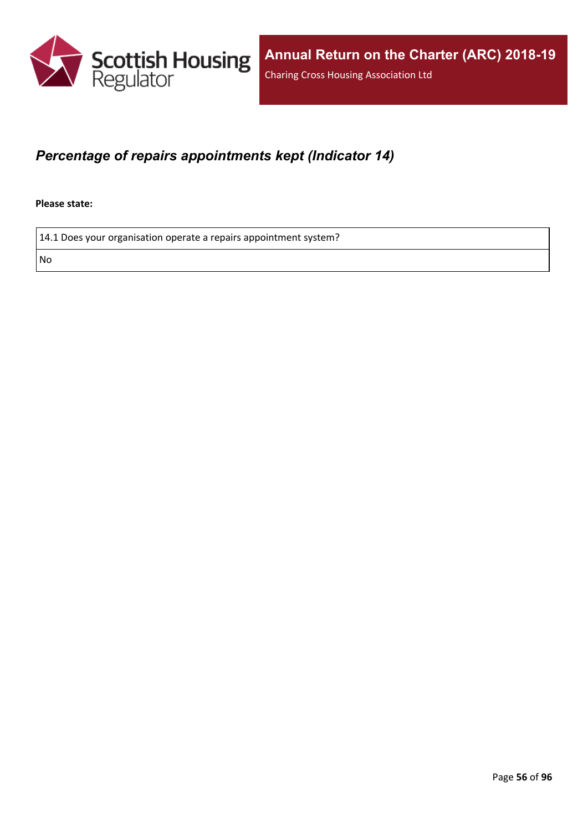

## *Percentage of repairs appointments kept (Indicator 14)*

**Please state:**

14.1 Does your organisation operate a repairs appointment system?

No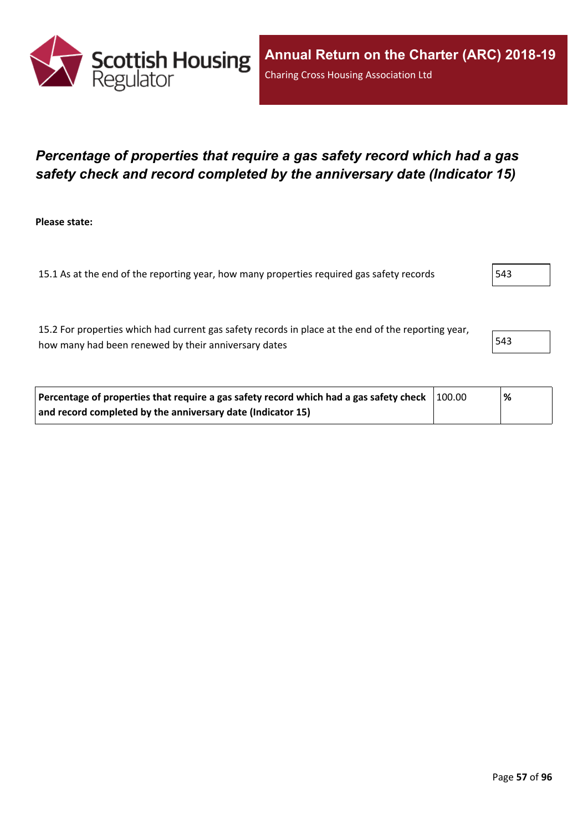

## *Percentage of properties that require a gas safety record which had a gas safety check and record completed by the anniversary date (Indicator 15)*

**Please state:**

15.1 As at the end of the reporting year, how many properties required gas safety records | 543

15.2 For properties which had current gas safety records in place at the end of the reporting year, how many had been renewed by their anniversary dates 543

| Percentage of properties that require a gas safety record which had a gas safety check $\vert$ 100.00 | % |  |
|-------------------------------------------------------------------------------------------------------|---|--|
| and record completed by the anniversary date (Indicator 15)                                           |   |  |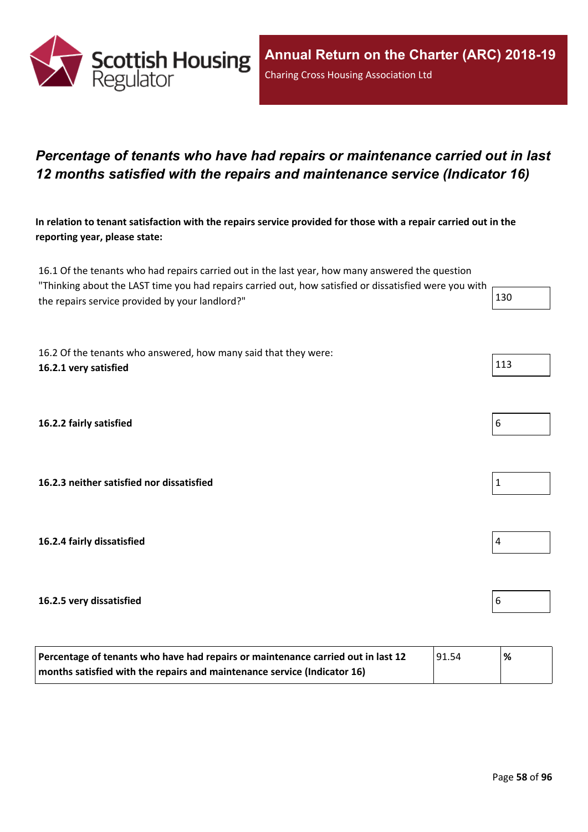

## *Percentage of tenants who have had repairs or maintenance carried out in last 12 months satisfied with the repairs and maintenance service (Indicator 16)*

In relation to tenant satisfaction with the repairs service provided for those with a repair carried out in the **reporting year, please state:**

16.1 Of the tenants who had repairs carried out in the last year, how many answered the question "Thinking about the LAST time you had repairs carried out, how satisfied or dissatisfied were you with the repairs service provided by your landlord?"  $130$ 

16.2 Of the tenants who answered, how many said that they were: **16.2.1 very satisfied** 113

**16.2.2 fairly satisfied** 6

**16.2.3 neither satisfied nor dissatisfied** 1

**16.2.4 fairly dissatisfied** 4

#### **16.2.5 very dissatisfied** 6

| Percentage of tenants who have had repairs or maintenance carried out in last 12 | 91.54 | % |
|----------------------------------------------------------------------------------|-------|---|
| months satisfied with the repairs and maintenance service (Indicator 16)         |       |   |

- 
- 
- -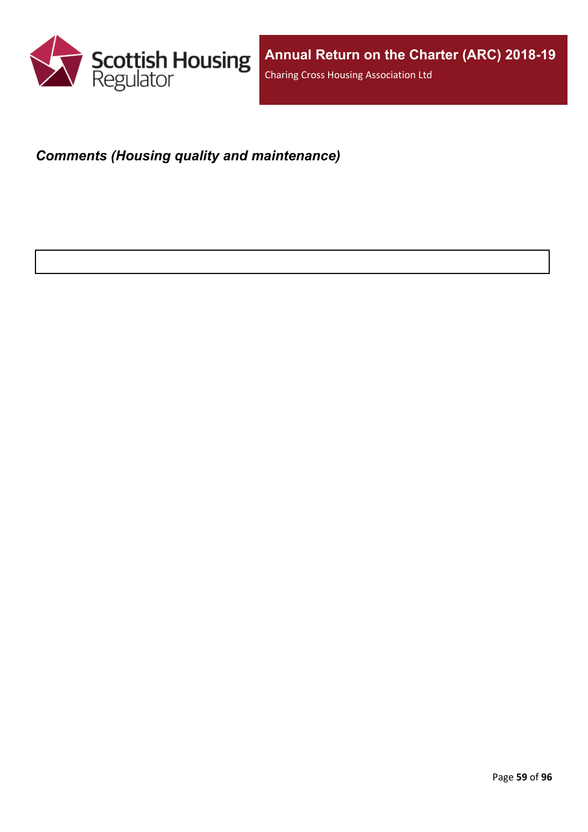

## *Comments (Housing quality and maintenance)*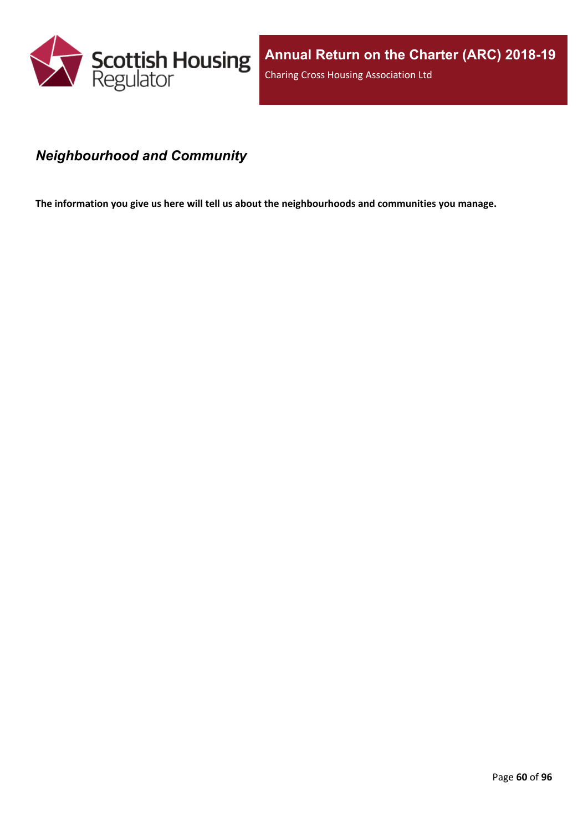

## *Neighbourhood and Community*

**The information you give us here will tell us about the neighbourhoods and communities you manage.**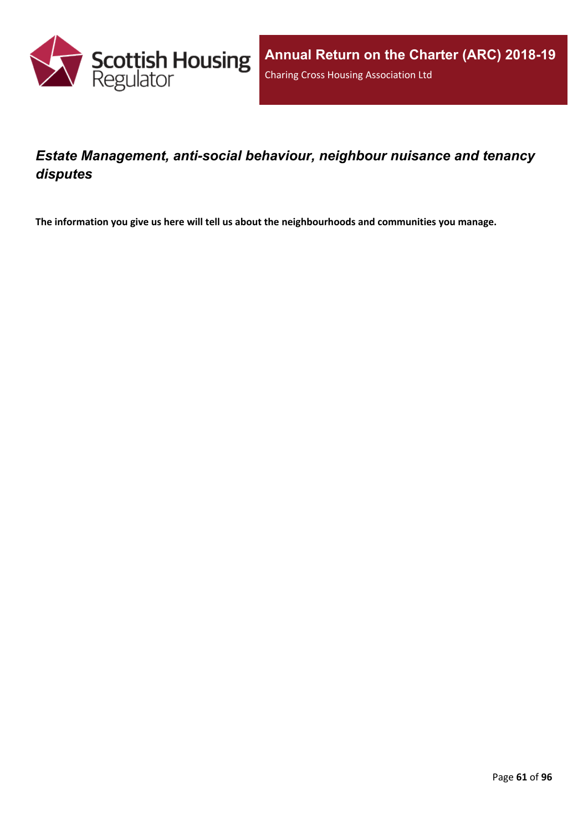

## *Estate Management, anti-social behaviour, neighbour nuisance and tenancy disputes*

**The information you give us here will tell us about the neighbourhoods and communities you manage.**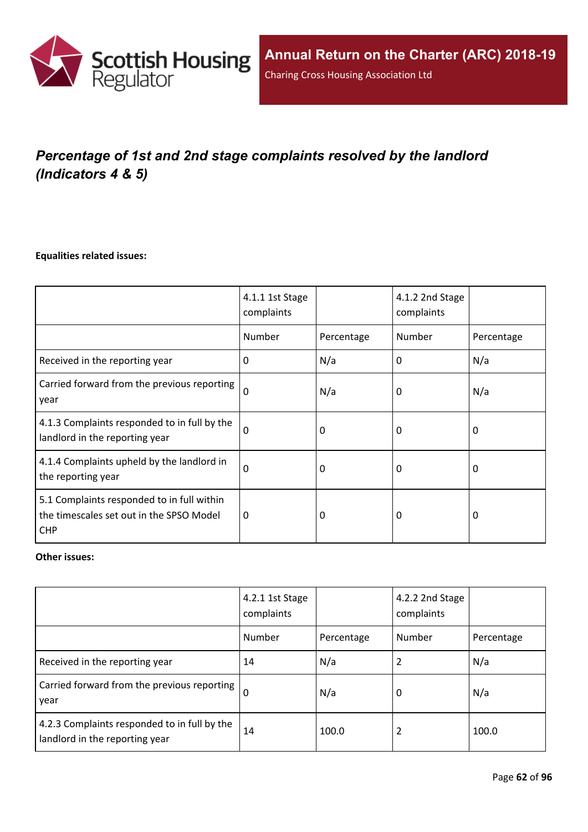

# *Percentage of 1st and 2nd stage complaints resolved by the landlord (Indicators 4 & 5)*

### **Equalities related issues:**

|                                                                                                      | 4.1.1 1st Stage<br>complaints |            | 4.1.2 2nd Stage<br>complaints |            |
|------------------------------------------------------------------------------------------------------|-------------------------------|------------|-------------------------------|------------|
|                                                                                                      | Number                        | Percentage | Number                        | Percentage |
| Received in the reporting year                                                                       | $\Omega$                      | N/a        | 0                             | N/a        |
| Carried forward from the previous reporting<br>year                                                  | $\Omega$                      | N/a        | 0                             | N/a        |
| 4.1.3 Complaints responded to in full by the<br>landlord in the reporting year                       | $\Omega$                      | 0          | 0                             | 0          |
| 4.1.4 Complaints upheld by the landlord in<br>the reporting year                                     | 0                             | 0          | 0                             | 0          |
| 5.1 Complaints responded to in full within<br>the timescales set out in the SPSO Model<br><b>CHP</b> | $\Omega$                      | 0          | 0                             | $\Omega$   |

#### **Other issues:**

|                                                                                | 4.2.1 1st Stage<br>complaints |            | 4.2.2 2nd Stage<br>complaints |            |
|--------------------------------------------------------------------------------|-------------------------------|------------|-------------------------------|------------|
|                                                                                | Number                        | Percentage | Number                        | Percentage |
| Received in the reporting year                                                 | 14                            | N/a        |                               | N/a        |
| Carried forward from the previous reporting  <br>year                          | $\Omega$                      | N/a        | 0                             | N/a        |
| 4.2.3 Complaints responded to in full by the<br>landlord in the reporting year | 14                            | 100.0      | 2                             | 100.0      |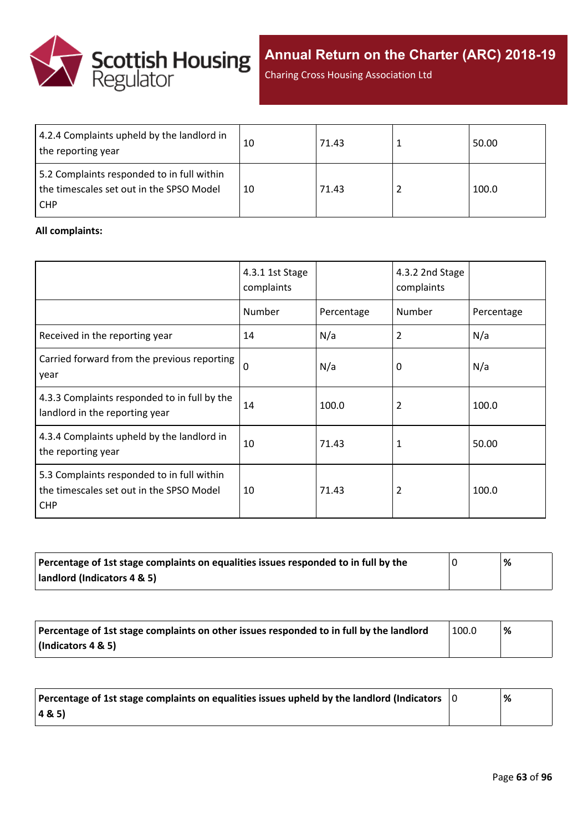

Charing Cross Housing Association Ltd

| 4.2.4 Complaints upheld by the landlord in<br>the reporting year                                     | 10 | 71.43 | 50.00 |
|------------------------------------------------------------------------------------------------------|----|-------|-------|
| 5.2 Complaints responded to in full within<br>the timescales set out in the SPSO Model<br><b>CHP</b> | 10 | 71.43 | 100.0 |

#### **All complaints:**

|                                                                                                      | 4.3.1 1st Stage<br>complaints |            | 4.3.2 2nd Stage<br>complaints |            |
|------------------------------------------------------------------------------------------------------|-------------------------------|------------|-------------------------------|------------|
|                                                                                                      | Number                        | Percentage | Number                        | Percentage |
| Received in the reporting year                                                                       | 14                            | N/a        | 2                             | N/a        |
| Carried forward from the previous reporting<br>year                                                  | $\mathbf 0$                   | N/a        | 0                             | N/a        |
| 4.3.3 Complaints responded to in full by the<br>landlord in the reporting year                       | 14                            | 100.0      | 2                             | 100.0      |
| 4.3.4 Complaints upheld by the landlord in<br>the reporting year                                     | 10                            | 71.43      | 1                             | 50.00      |
| 5.3 Complaints responded to in full within<br>the timescales set out in the SPSO Model<br><b>CHP</b> | 10                            | 71.43      | 2                             | 100.0      |

| Percentage of 1st stage complaints on equalities issues responded to in full by the | % |
|-------------------------------------------------------------------------------------|---|
| landlord (Indicators 4 & 5)                                                         |   |

| Percentage of 1st stage complaints on other issues responded to in full by the landlord | 100.0 | % |
|-----------------------------------------------------------------------------------------|-------|---|
| (Indicators 4 & 5)                                                                      |       |   |

| Percentage of 1st stage complaints on equalities issues upheld by the landlord (Indicators $\vert$ 0 | % |
|------------------------------------------------------------------------------------------------------|---|
| (48.5)                                                                                               |   |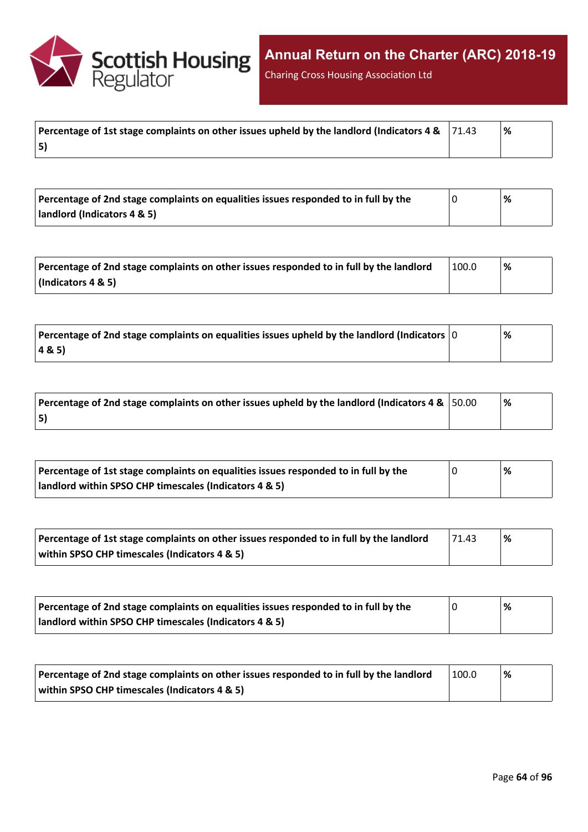

Charing Cross Housing Association Ltd

| Percentage of 1st stage complaints on other issues upheld by the landlord (Indicators 4 & $\,$ /71.43 | % |
|-------------------------------------------------------------------------------------------------------|---|
| 5)                                                                                                    |   |

| Percentage of 2nd stage complaints on equalities issues responded to in full by the | % |
|-------------------------------------------------------------------------------------|---|
| landlord (Indicators 4 & 5)                                                         |   |

| Percentage of 2nd stage complaints on other issues responded to in full by the landlord | 100.0 | % |
|-----------------------------------------------------------------------------------------|-------|---|
| $\vert$ (Indicators 4 & 5)                                                              |       |   |

| Percentage of 2nd stage complaints on equalities issues upheld by the landlord (Indicators $ 0 $ | % |
|--------------------------------------------------------------------------------------------------|---|
| 4&5)                                                                                             |   |

| Percentage of 2nd stage complaints on other issues upheld by the landlord (Indicators 4 & $\vert$ 50.00 | '% |
|---------------------------------------------------------------------------------------------------------|----|
| 5)                                                                                                      |    |

| Percentage of 1st stage complaints on equalities issues responded to in full by the |  | % |
|-------------------------------------------------------------------------------------|--|---|
| landlord within SPSO CHP timescales (Indicators 4 & 5)                              |  |   |

| Percentage of 1st stage complaints on other issues responded to in full by the landlord | 71.43 | '% |
|-----------------------------------------------------------------------------------------|-------|----|
| within SPSO CHP timescales (Indicators 4 & 5)                                           |       |    |

| Percentage of 2nd stage complaints on equalities issues responded to in full by the |  | '% |
|-------------------------------------------------------------------------------------|--|----|
| landlord within SPSO CHP timescales (Indicators 4 & 5)                              |  |    |

| Percentage of 2nd stage complaints on other issues responded to in full by the landlord | 100.0 | % |
|-----------------------------------------------------------------------------------------|-------|---|
| within SPSO CHP timescales (Indicators 4 & 5)                                           |       |   |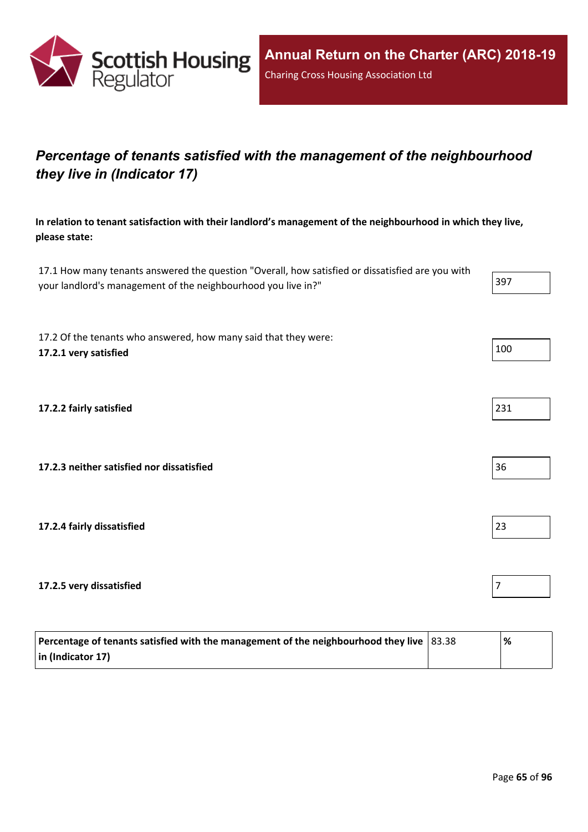

## *Percentage of tenants satisfied with the management of the neighbourhood they live in (Indicator 17)*

**In relation to tenant satisfaction with their landlord's management of the neighbourhood in which they live, please state:**

17.1 How many tenants answered the question "Overall, how satisfied or dissatisfied are you with your landlord's management of the neighbourhood you live in?"

17.2 Of the tenants who answered, how many said that they were: **17.2.1 very satisfied** 100

**17.2.2 fairly satisfied** 231

**17.2.3 neither satisfied nor dissatisfied** 36

**17.2.4 fairly dissatisfied** 23

**17.2.5 very dissatisfied** 

| Percentage of tenants satisfied with the management of the neighbourhood they live $ 83.38 $ | '% |
|----------------------------------------------------------------------------------------------|----|
| $\vert$ in (Indicator 17)                                                                    |    |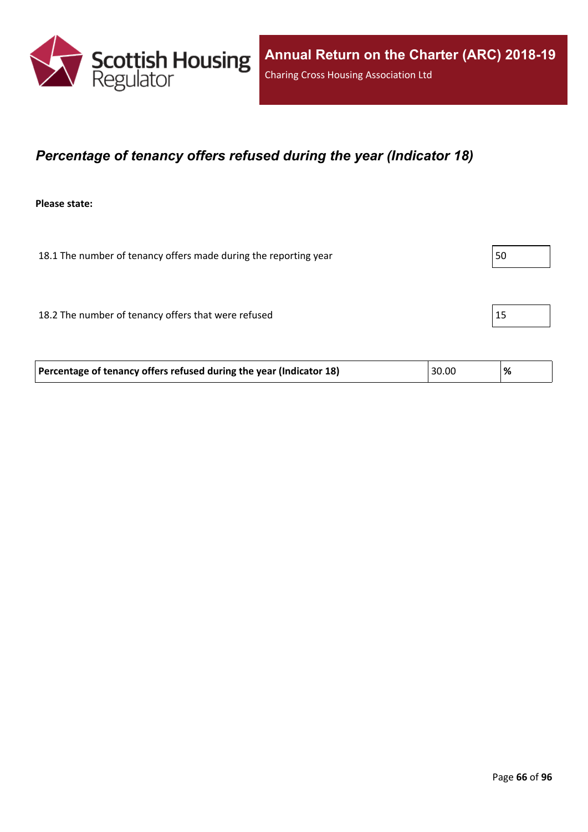

## *Percentage of tenancy offers refused during the year (Indicator 18)*

**Please state:**

18.1 The number of tenancy offers made during the reporting year  $\vert$  50

18.2 The number of tenancy offers that were refused 15

| Percentage of tenancy offers refused during the year (Indicator 18)<br>30.00<br><u>'%</u> |  |
|-------------------------------------------------------------------------------------------|--|
|-------------------------------------------------------------------------------------------|--|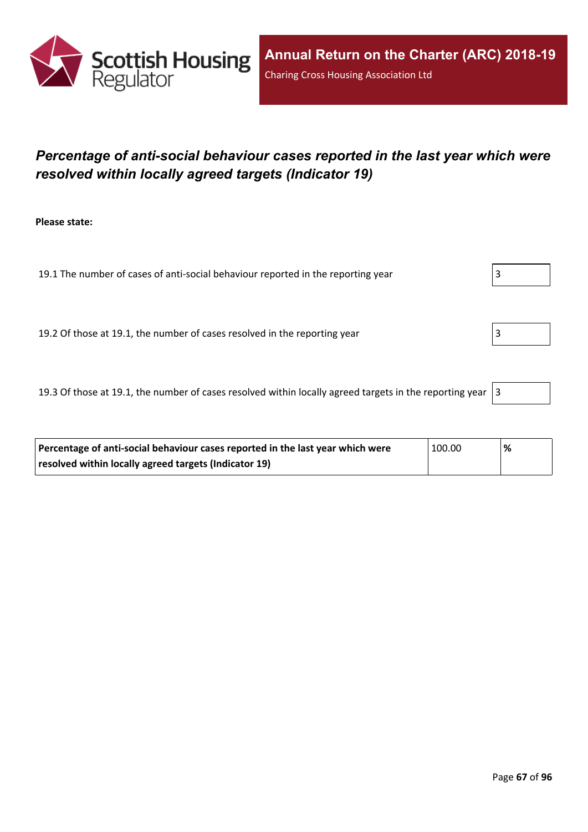

## *Percentage of anti-social behaviour cases reported in the last year which were resolved within locally agreed targets (Indicator 19)*

**Please state:**

19.1 The number of cases of anti-social behaviour reported in the reporting year 3

19.2 Of those at 19.1, the number of cases resolved in the reporting year 3

19.3 Of those at 19.1, the number of cases resolved within locally agreed targets in the reporting year  $|3|$ 

| Percentage of anti-social behaviour cases reported in the last year which were | $\vert$ 100.00 | $\%$ |
|--------------------------------------------------------------------------------|----------------|------|
| resolved within locally agreed targets (Indicator 19)                          |                |      |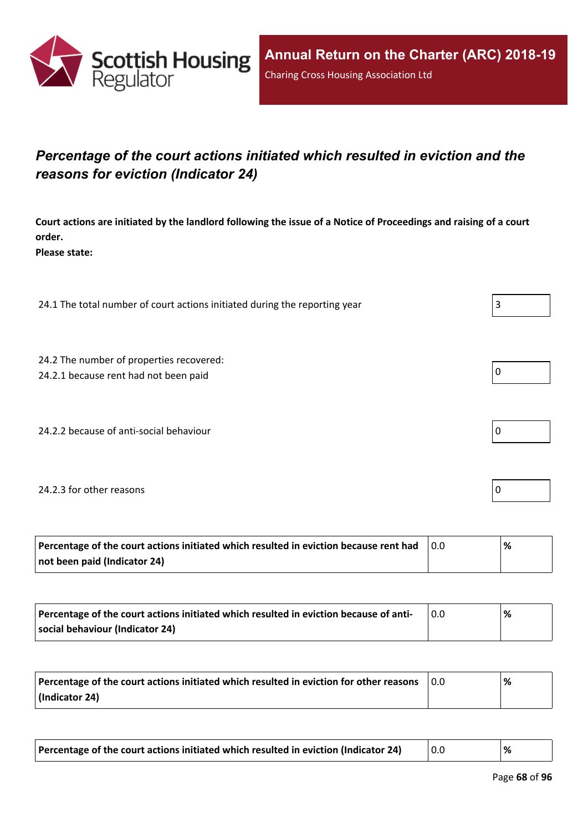

## *Percentage of the court actions initiated which resulted in eviction and the reasons for eviction (Indicator 24)*

Court actions are initiated by the landlord following the issue of a Notice of Proceedings and raising of a court **order.**

**Please state:**

24.1 The total number of court actions initiated during the reporting year  $\vert$  3

24.2 The number of properties recovered:

24.2.1 because rent had not been paid  $\vert 0 \vert$ 

24.2.2 because of anti-social behaviour  $\vert 0 \rangle$ 

#### 24.2.3 for other reasons  $\vert$  0

| Percentage of the court actions initiated which resulted in eviction because rent had | ℅ |
|---------------------------------------------------------------------------------------|---|
| not been paid (Indicator 24)                                                          |   |

| Percentage of the court actions initiated which resulted in eviction because of anti- | % |
|---------------------------------------------------------------------------------------|---|
| social behaviour (Indicator 24)                                                       |   |

| Percentage of the court actions initiated which resulted in eviction for other reasons | 0.0 | % |
|----------------------------------------------------------------------------------------|-----|---|
| (Indicator 24)                                                                         |     |   |

| Percentage of the court actions initiated which resulted in eviction (Indicator 24) |  |  |
|-------------------------------------------------------------------------------------|--|--|
|-------------------------------------------------------------------------------------|--|--|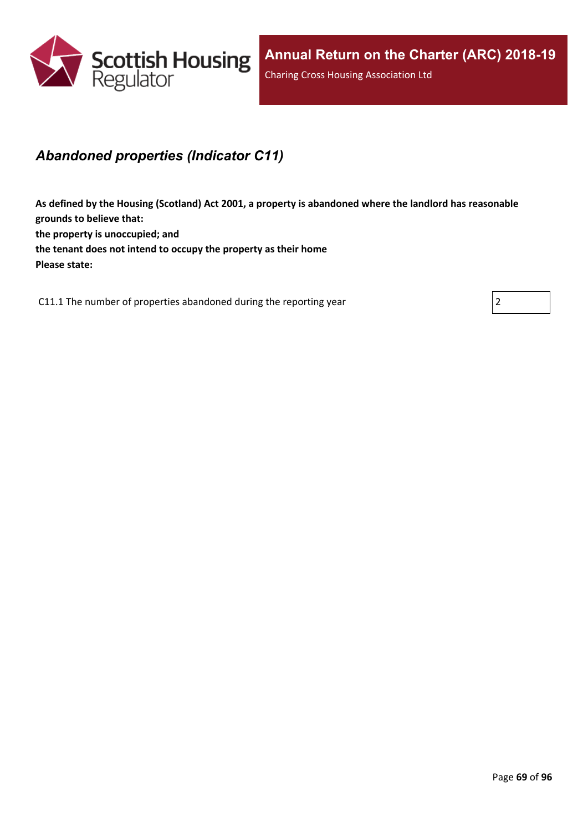

## *Abandoned properties (Indicator C11)*

**As defined by the Housing (Scotland) Act 2001, a property is abandoned where the landlord has reasonable grounds to believe that: the property is unoccupied; and the tenant does not intend to occupy the property as their home Please state:**

C11.1 The number of properties abandoned during the reporting year  $|2|$ 

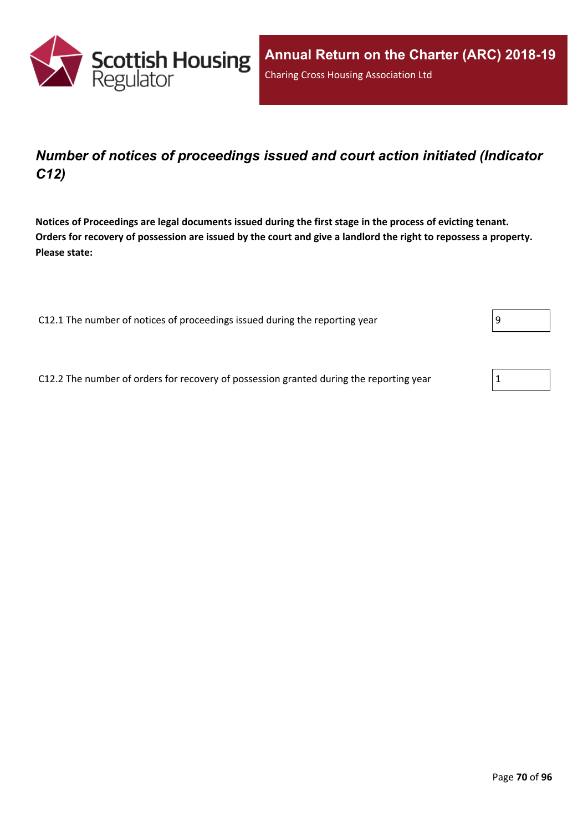

## *Number of notices of proceedings issued and court action initiated (Indicator C12)*

Notices of Proceedings are legal documents issued during the first stage in the process of evicting tenant. Orders for recovery of possession are issued by the court and give a landlord the right to repossess a property. **Please state:**

C12.1 The number of notices of proceedings issued during the reporting year  $\vert$  9

C12.2 The number of orders for recovery of possession granted during the reporting year 1

|--|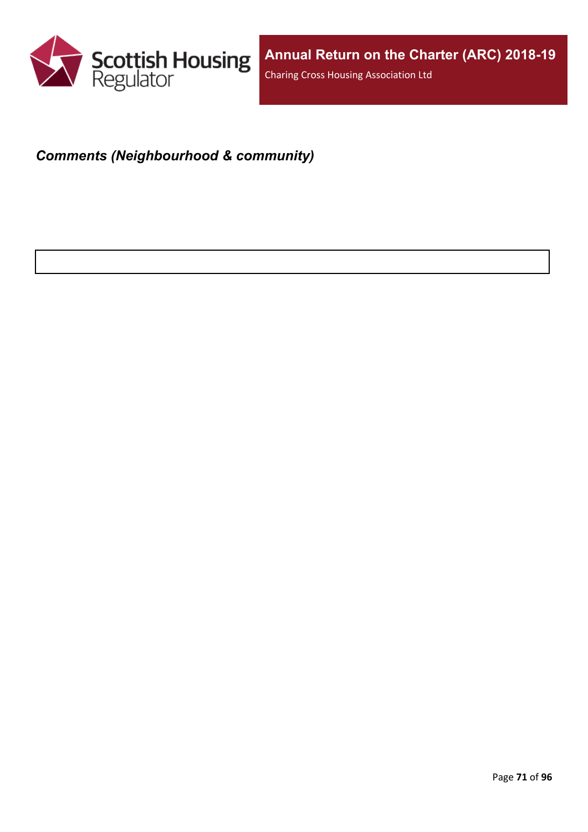

## *Comments (Neighbourhood & community)*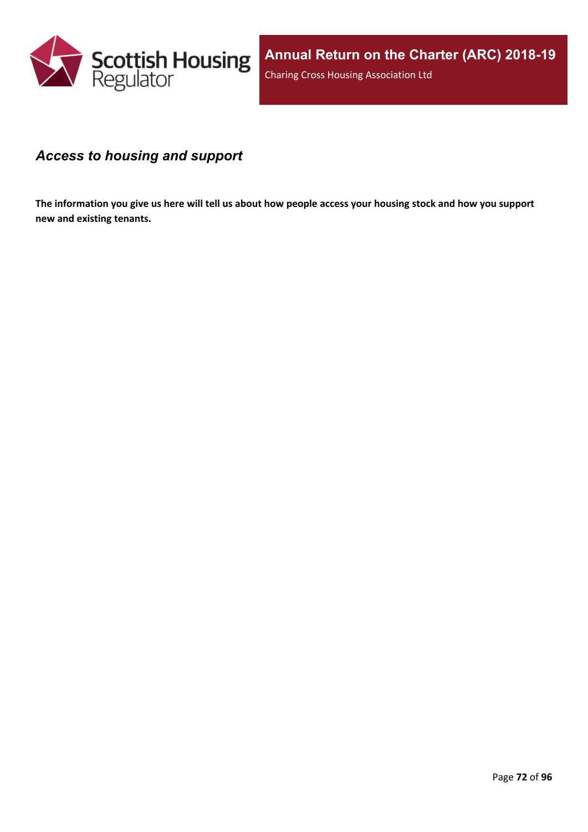

### *Access to housing and support*

The information you give us here will tell us about how people access your housing stock and how you support **new and existing tenants.**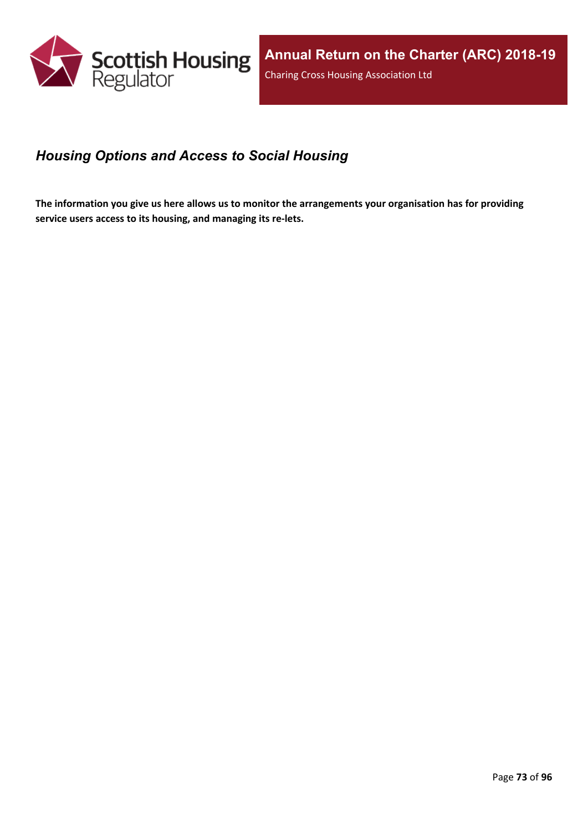

### *Housing Options and Access to Social Housing*

The information you give us here allows us to monitor the arrangements your organisation has for providing **service users access to its housing, and managing its re-lets.**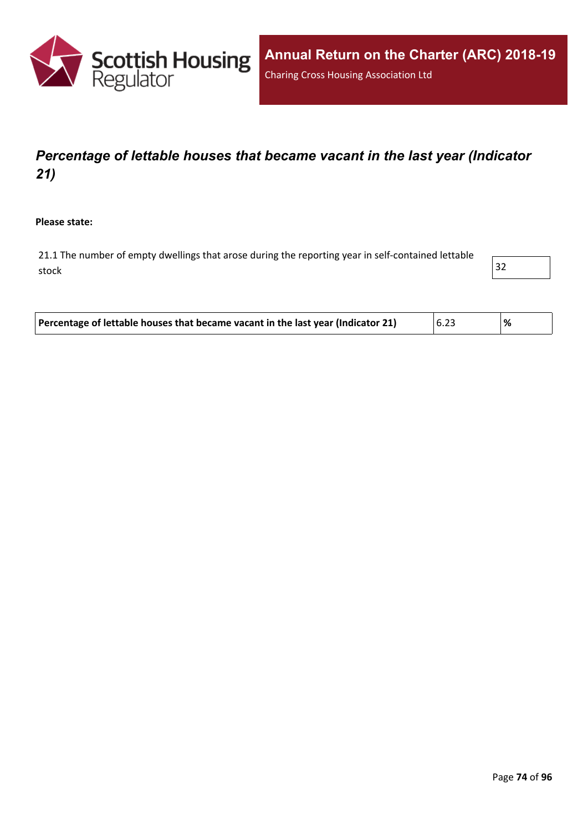

# *Percentage of lettable houses that became vacant in the last year (Indicator 21)*

**Please state:**

21.1 The number of empty dwellings that arose during the reporting year in self-contained lettable stock and the stock of  $\vert$  32  $\vert$ 



| Percentage of lettable houses that became vacant in the last year (Indicator 21)<br> 6.23<br>% |
|------------------------------------------------------------------------------------------------|
|------------------------------------------------------------------------------------------------|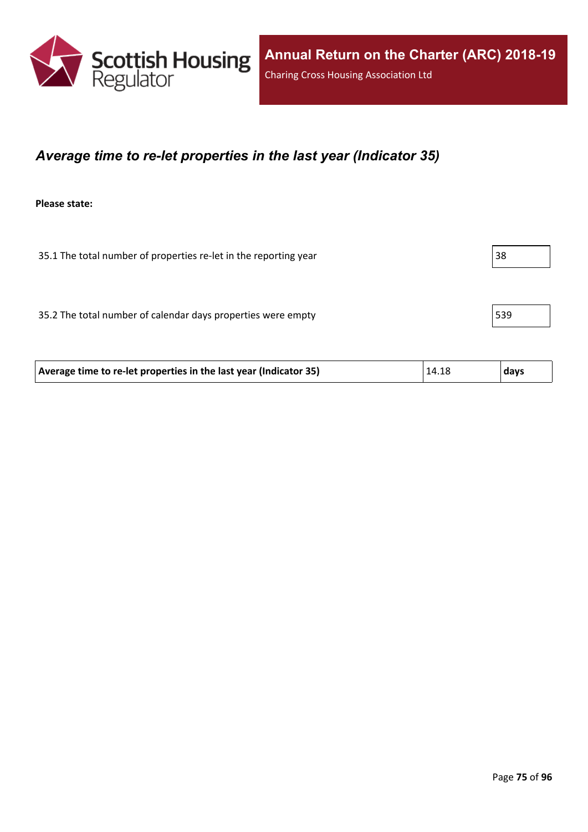

#### *Average time to re-let properties in the last year (Indicator 35)*

**Please state:**

35.1 The total number of properties re-let in the reporting year 38

35.2 The total number of calendar days properties were empty 539

| Average time to re-let properties in the last year (Indicator 35) | 14.18 | days |
|-------------------------------------------------------------------|-------|------|
|-------------------------------------------------------------------|-------|------|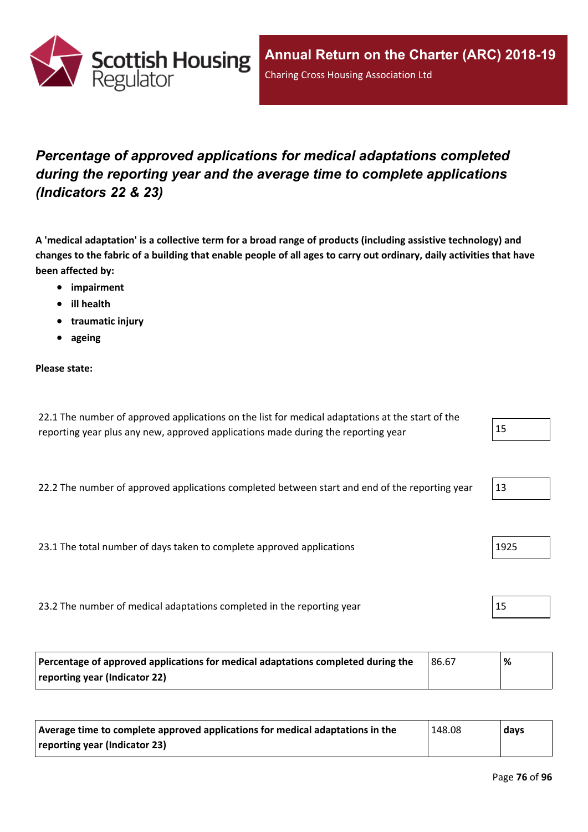

# *Percentage of approved applications for medical adaptations completed during the reporting year and the average time to complete applications (Indicators 22 & 23)*

A 'medical adaptation' is a collective term for a broad range of products (including assistive technology) and changes to the fabric of a building that enable people of all ages to carry out ordinary, daily activities that have **been affected by:**

- **impairment**
- **ill health**
- **traumatic injury**
- **ageing**

#### **Please state:**

| 22.1 The number of approved applications on the list for medical adaptations at the start of the |    |
|--------------------------------------------------------------------------------------------------|----|
| reporting year plus any new, approved applications made during the reporting year                | 15 |

22.2 The number of approved applications completed between start and end of the reporting year  $13$ 

23.1 The total number of days taken to complete approved applications 1925

23.2 The number of medical adaptations completed in the reporting year 15

| Percentage of approved applications for medical adaptations completed during the | 86.67 | % |
|----------------------------------------------------------------------------------|-------|---|
| reporting year (Indicator 22)                                                    |       |   |

| Average time to complete approved applications for medical adaptations in the | 148.08 | days |
|-------------------------------------------------------------------------------|--------|------|
| reporting year (Indicator 23)                                                 |        |      |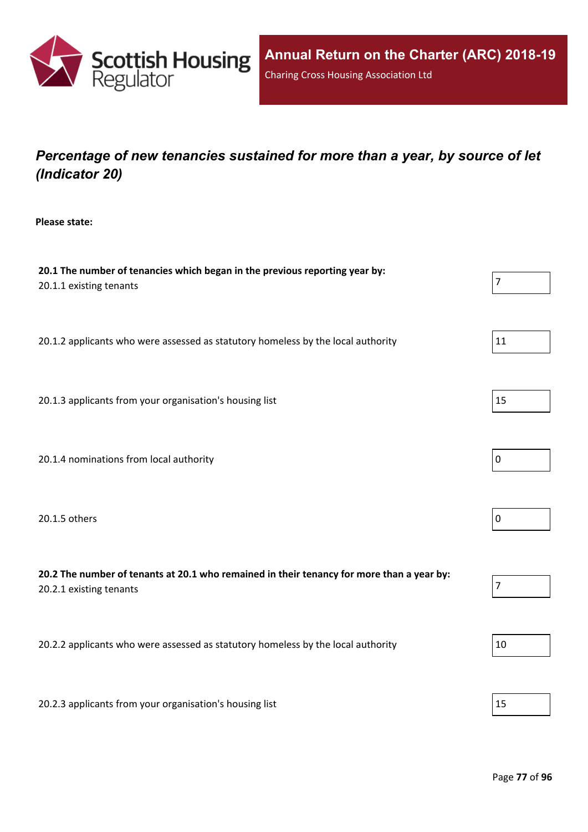

# *Percentage of new tenancies sustained for more than a year, by source of let (Indicator 20)*

**Please state:**

| 20.1 The number of tenancies which began in the previous reporting year by:<br>20.1.1 existing tenants               | $\overline{7}$ |
|----------------------------------------------------------------------------------------------------------------------|----------------|
| 20.1.2 applicants who were assessed as statutory homeless by the local authority                                     | 11             |
| 20.1.3 applicants from your organisation's housing list                                                              | 15             |
| 20.1.4 nominations from local authority                                                                              | 0              |
| 20.1.5 others                                                                                                        | $\pmb{0}$      |
| 20.2 The number of tenants at 20.1 who remained in their tenancy for more than a year by:<br>20.2.1 existing tenants | 7              |
| 20.2.2 applicants who were assessed as statutory homeless by the local authority                                     | 10             |
| 20.2.3 applicants from your organisation's housing list                                                              | 15             |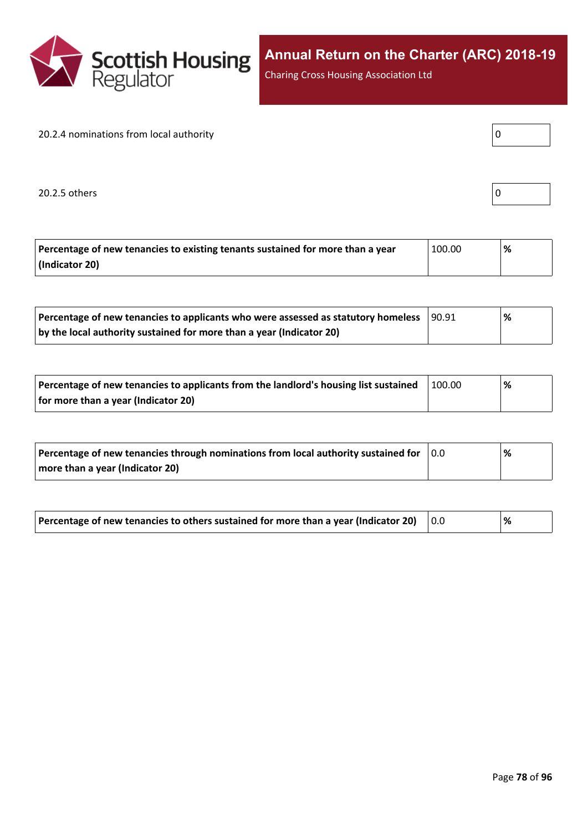

Charing Cross Housing Association Ltd

#### 20.2.4 nominations from local authority

20.2.5 others  $\boxed{0}$ 

| ر |  |
|---|--|
|   |  |
|   |  |

| Percentage of new tenancies to existing tenants sustained for more than a year | 100.00 | % |
|--------------------------------------------------------------------------------|--------|---|
| (Indicator 20)                                                                 |        |   |

| Percentage of new tenancies to applicants who were assessed as statutory homeless | 190.91 | '% |  |
|-----------------------------------------------------------------------------------|--------|----|--|
| by the local authority sustained for more than a year (Indicator 20)              |        |    |  |

| Percentage of new tenancies to applicants from the landlord's housing list sustained | 100.00 | % |  |
|--------------------------------------------------------------------------------------|--------|---|--|
| for more than a year (Indicator 20)                                                  |        |   |  |

| Percentage of new tenancies through nominations from local authority sustained for | $\overline{0.0}$ | % |
|------------------------------------------------------------------------------------|------------------|---|
| more than a year (Indicator 20)                                                    |                  |   |

| Percentage of new tenancies to others sustained for more than a year (Indicator 20) |  | % |
|-------------------------------------------------------------------------------------|--|---|
|-------------------------------------------------------------------------------------|--|---|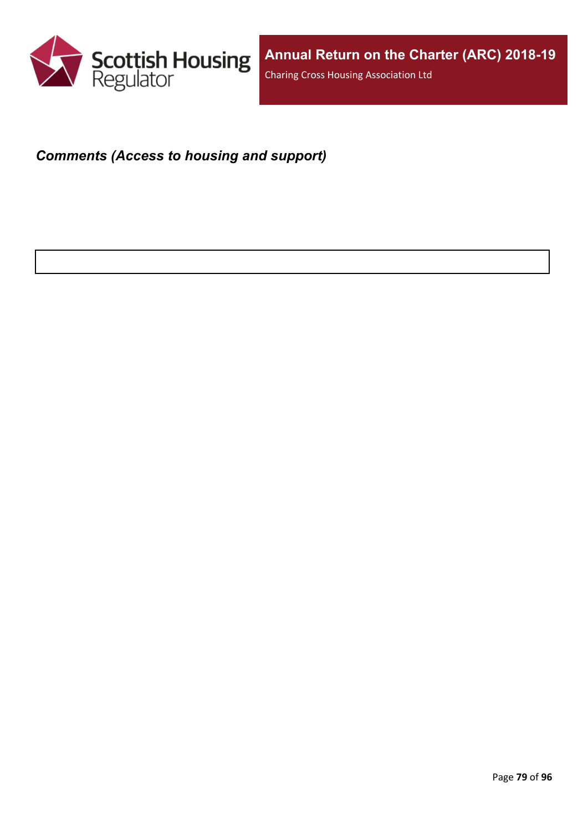

#### *Comments (Access to housing and support)*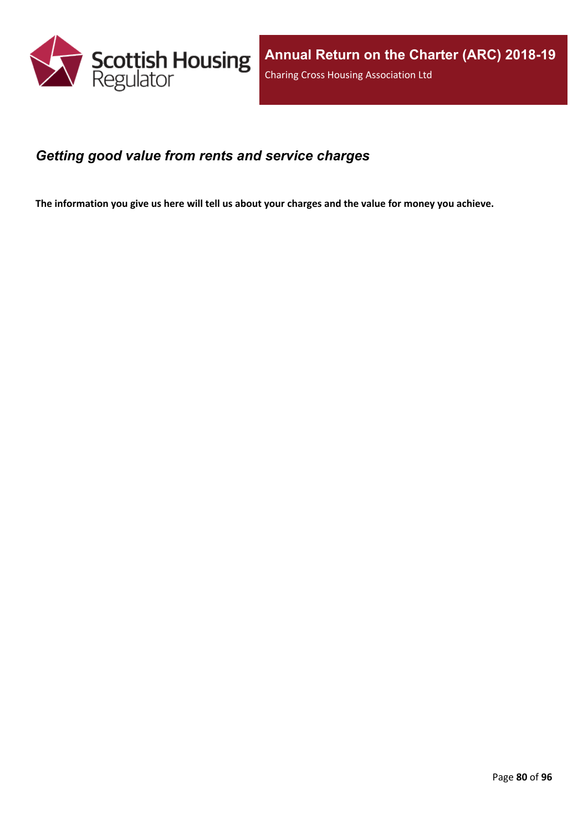

#### *Getting good value from rents and service charges*

The information you give us here will tell us about your charges and the value for money you achieve.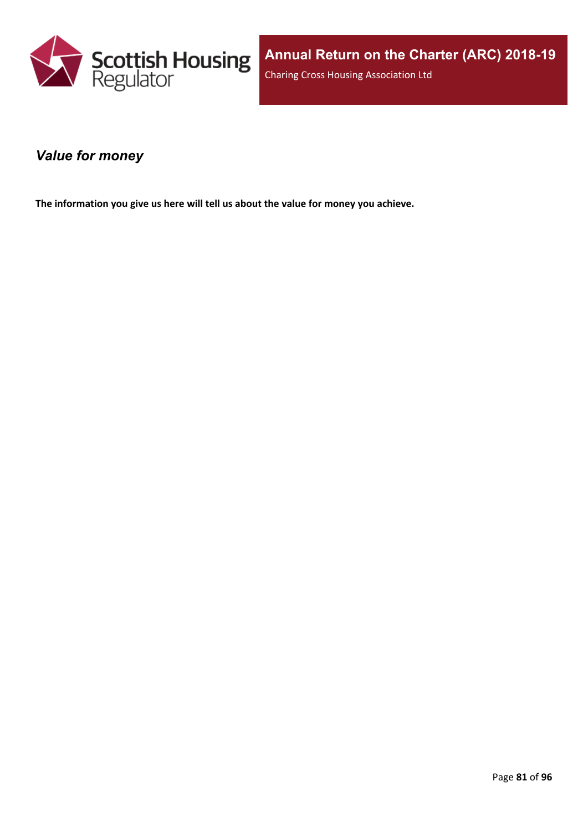

#### *Value for money*

**The information you give us here will tell us about the value for money you achieve.**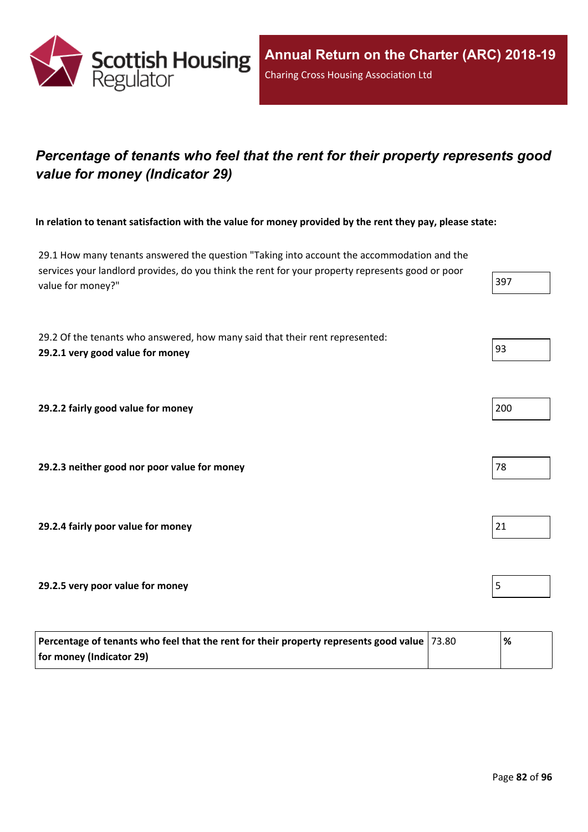

# *Percentage of tenants who feel that the rent for their property represents good value for money (Indicator 29)*

In relation to tenant satisfaction with the value for money provided by the rent they pay, please state:

29.1 How many tenants answered the question "Taking into account the accommodation and the services your landlord provides, do you think the rent for your property represents good or poor value for money?"

29.2 Of the tenants who answered, how many said that their rent represented: **29.2.1 very good value for money** 93

**29.2.2 fairly good value for money** 200

**29.2.3 neither good nor poor value for money** 78

**29.2.4 fairly poor value for money** 21

**29.2.5 very poor value for money** 5

| Percentage of tenants who feel that the rent for their property represents good value   73.80 | '% |
|-----------------------------------------------------------------------------------------------|----|
| for money (Indicator 29)                                                                      |    |

| 200 |  |
|-----|--|
|     |  |

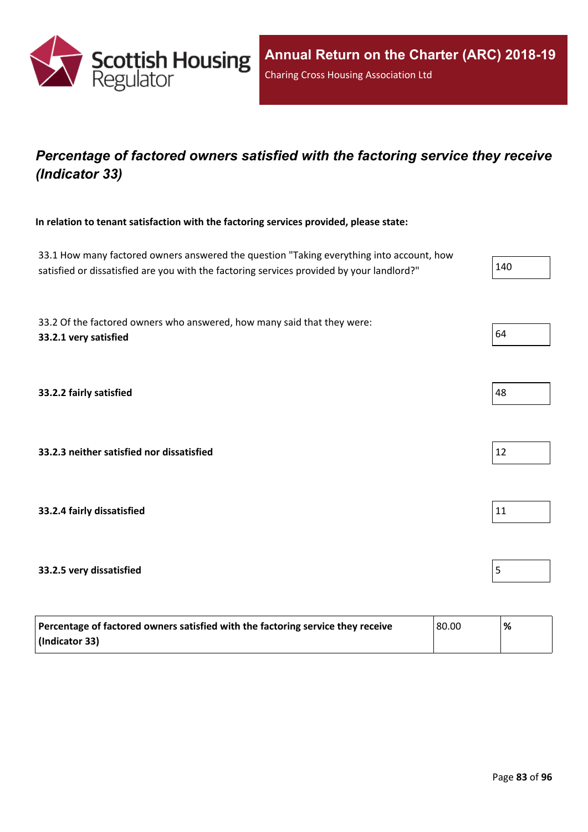

## *Percentage of factored owners satisfied with the factoring service they receive (Indicator 33)*

**In relation to tenant satisfaction with the factoring services provided, please state:**

33.1 How many factored owners answered the question "Taking everything into account, how satisfied or dissatisfied are you with the factoring services provided by your landlord?" 33.2 Of the factored owners who answered, how many said that they were: **33.2.1 very satisfied** 64 **33.2.2 fairly satisfied** 48 **33.2.3 neither satisfied nor dissatisfied** 12 **33.2.4 fairly dissatisfied** 11 **33.2.5 very dissatisfied** 5

| Percentage of factored owners satisfied with the factoring service they receive | 80.00 | % |
|---------------------------------------------------------------------------------|-------|---|
| (Indicator 33)                                                                  |       |   |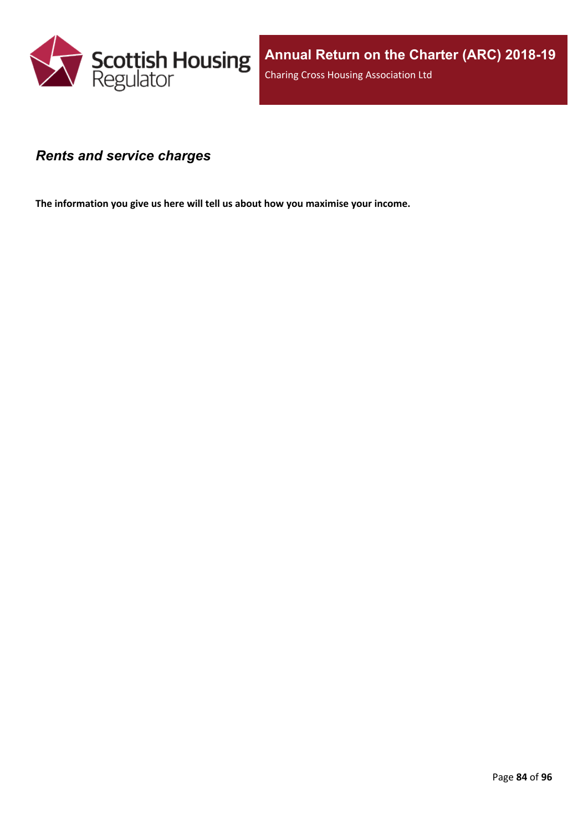

#### *Rents and service charges*

**The information you give us here will tell us about how you maximise your income.**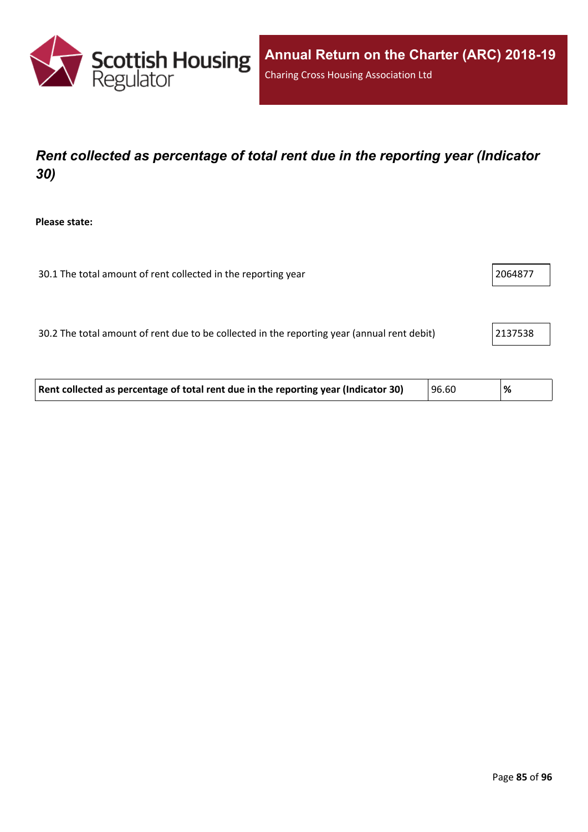

# *Rent collected as percentage of total rent due in the reporting year (Indicator 30)*

**Please state:**

| 30.1 The total amount of rent collected in the reporting year | 2064877 |
|---------------------------------------------------------------|---------|
|                                                               |         |

30.2 The total amount of rent due to be collected in the reporting year (annual rent debit) 2137538

| Rent collected as percentage of total rent due in the reporting year (Indicator 30) | 96.60 | % |
|-------------------------------------------------------------------------------------|-------|---|
|-------------------------------------------------------------------------------------|-------|---|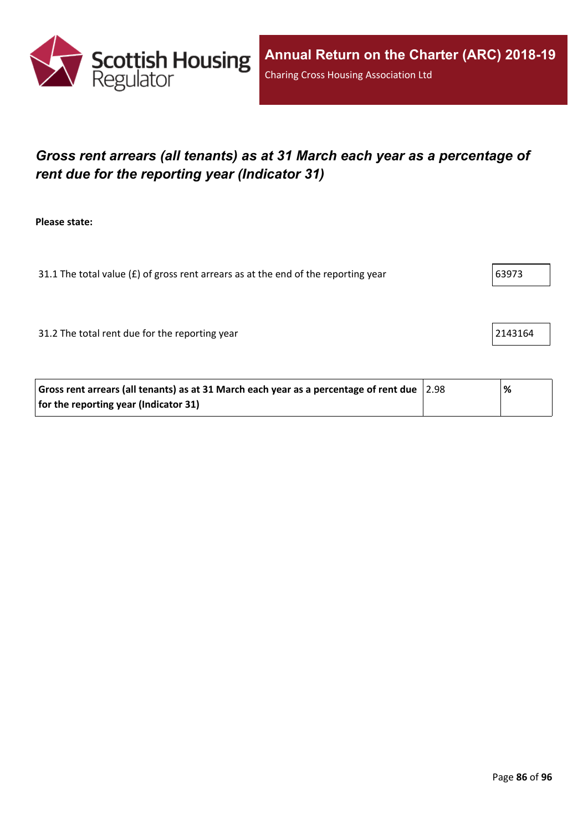

# *Gross rent arrears (all tenants) as at 31 March each year as a percentage of rent due for the reporting year (Indicator 31)*

**Please state:**

31.1 The total value ( $E$ ) of gross rent arrears as at the end of the reporting year  $\vert$  63973

31.2 The total rent due for the reporting year 21.2 The total rent due for the reporting year

| Gross rent arrears (all tenants) as at 31 March each year as a percentage of rent due $ 2.98 $ | % |
|------------------------------------------------------------------------------------------------|---|
| for the reporting year (Indicator 31)                                                          |   |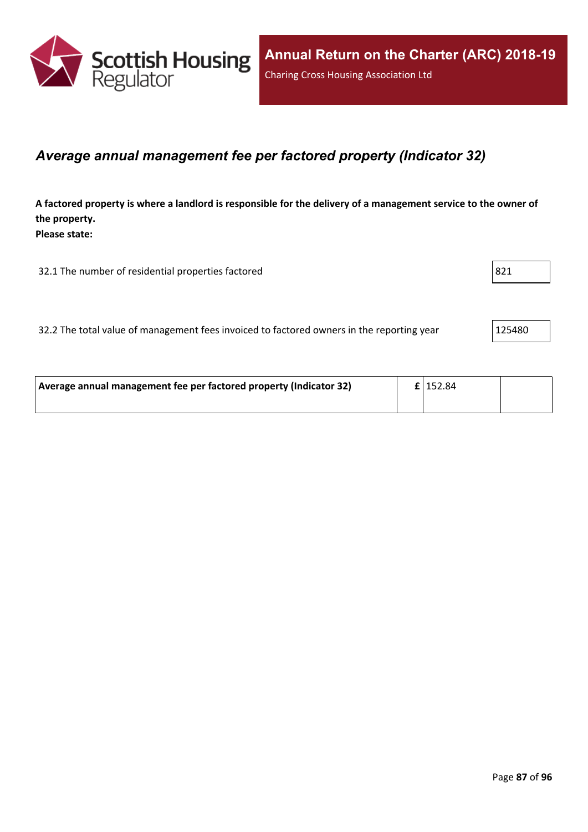

#### *Average annual management fee per factored property (Indicator 32)*

A factored property is where a landlord is responsible for the delivery of a management service to the owner of **the property. Please state:**

32.1 The number of residential properties factored 821

32.2 The total value of management fees invoiced to factored owners in the reporting year 125480

| Average annual management fee per factored property (Indicator 32) | $E$   152.84 |  |
|--------------------------------------------------------------------|--------------|--|
|                                                                    |              |  |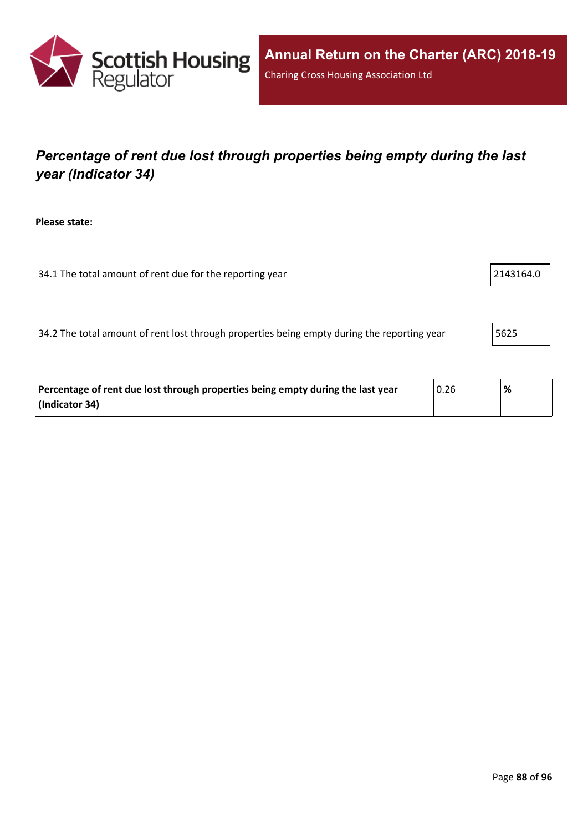

# *Percentage of rent due lost through properties being empty during the last year (Indicator 34)*

**Please state:**

34.1 The total amount of rent due for the reporting year 2143164.0

34.2 The total amount of rent lost through properties being empty during the reporting year 5625

| Percentage of rent due lost through properties being empty during the last year | 0.26 | % |
|---------------------------------------------------------------------------------|------|---|
| (Indicator 34)                                                                  |      |   |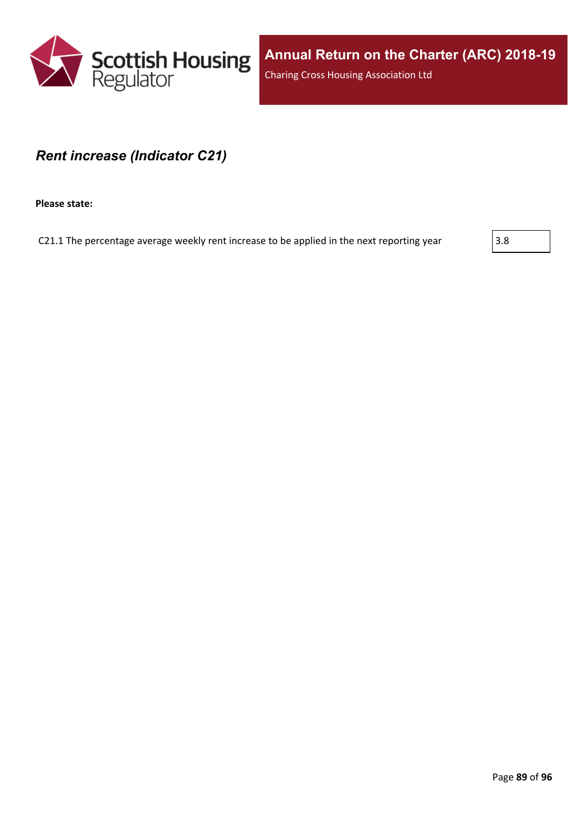

#### *Rent increase (Indicator C21)*

**Please state:**

C21.1 The percentage average weekly rent increase to be applied in the next reporting year  $\vert$  3.8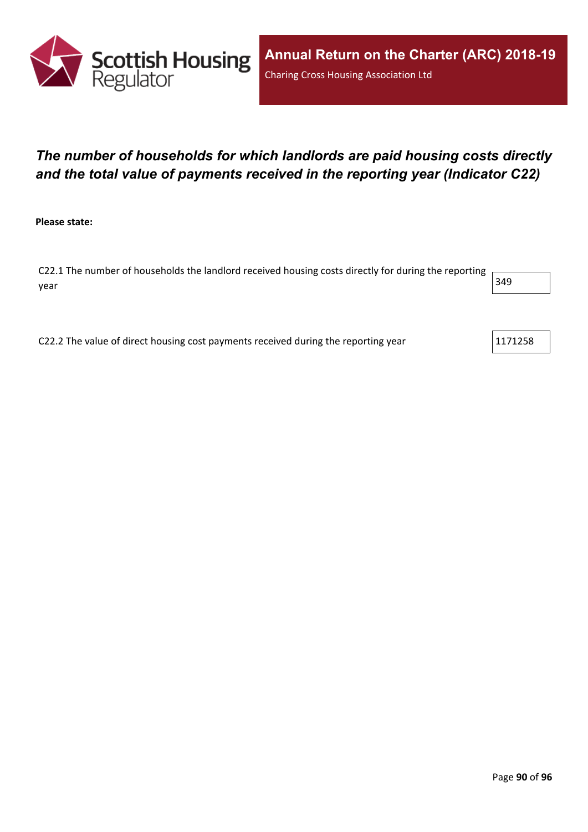

# *The number of households for which landlords are paid housing costs directly and the total value of payments received in the reporting year (Indicator C22)*

**Please state:**

C22.1 The number of households the landlord received housing costs directly for during the reporting year  $\vert$ 349

C22.2 The value of direct housing cost payments received during the reporting year  $|1171258\rangle$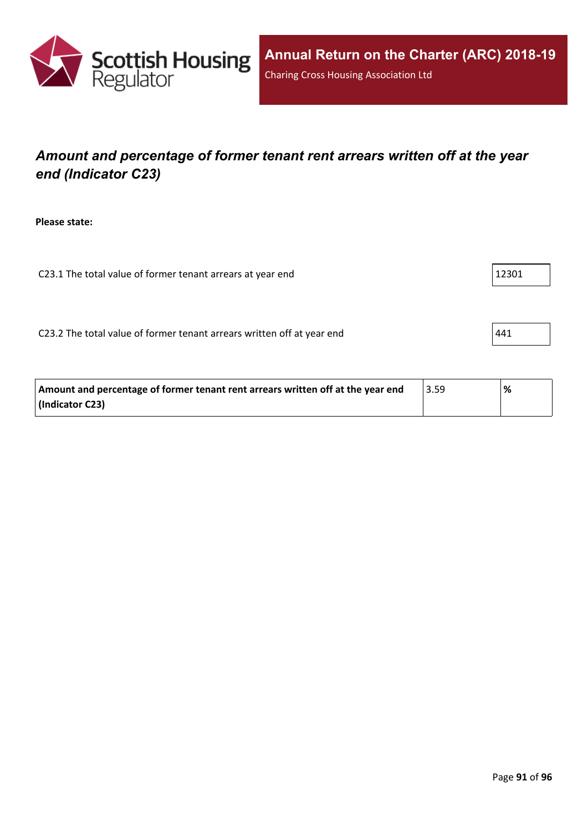

# *Amount and percentage of former tenant rent arrears written off at the year end (Indicator C23)*

**Please state:**

| C23.1 The total value of former tenant arrears at year end | 12301 |
|------------------------------------------------------------|-------|
|------------------------------------------------------------|-------|

C23.2 The total value of former tenant arrears written off at year end  $\vert$ 441

| Amount and percentage of former tenant rent arrears written off at the year end | 3.59 | % |
|---------------------------------------------------------------------------------|------|---|
| (Indicator C23)                                                                 |      |   |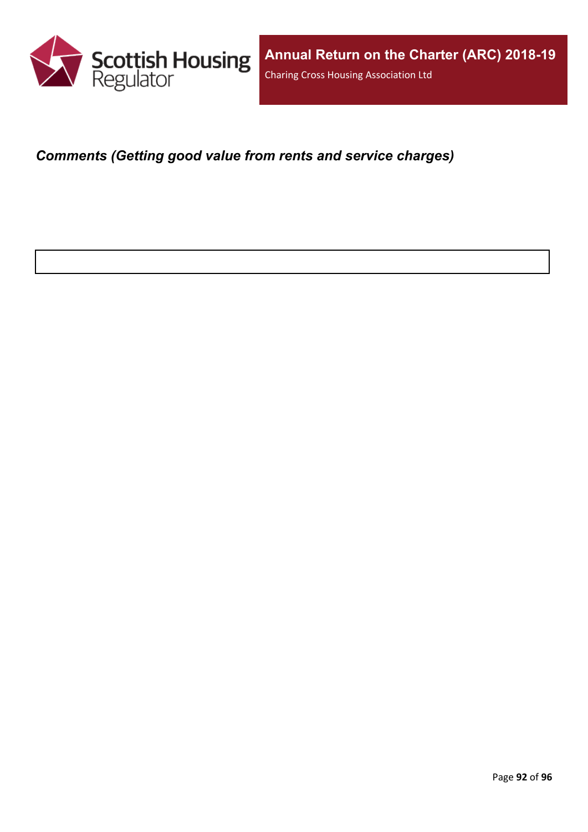

*Comments (Getting good value from rents and service charges)*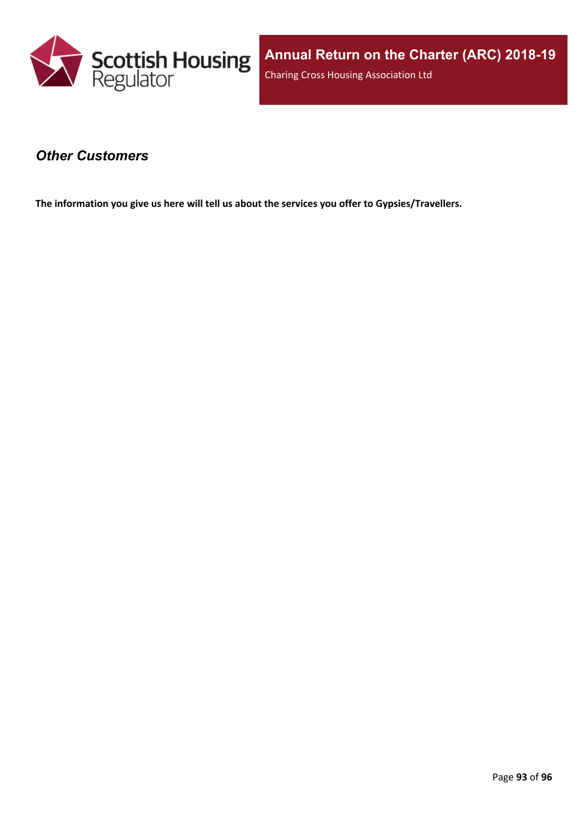

#### *Other Customers*

**The information you give us here will tell us about the services you offer to Gypsies/Travellers.**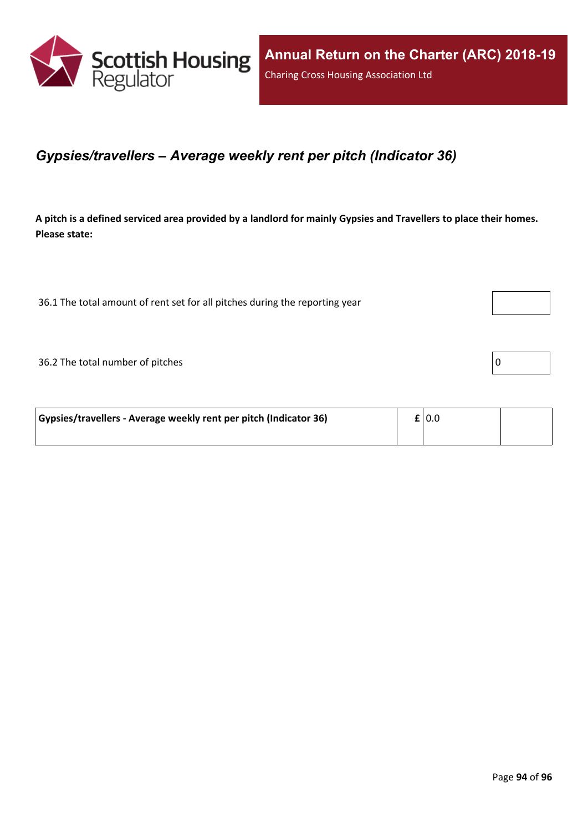

#### *Gypsies/travellers – Average weekly rent per pitch (Indicator 36)*

A pitch is a defined serviced area provided by a landlord for mainly Gypsies and Travellers to place their homes. **Please state:**

36.1 The total amount of rent set for all pitches during the reporting year

 $36.2$  The total number of pitches  $\boxed{0}$ 

| Gypsies/travellers - Average weekly rent per pitch (Indicator 36) |  | £ 0.0 |  |
|-------------------------------------------------------------------|--|-------|--|
|                                                                   |  |       |  |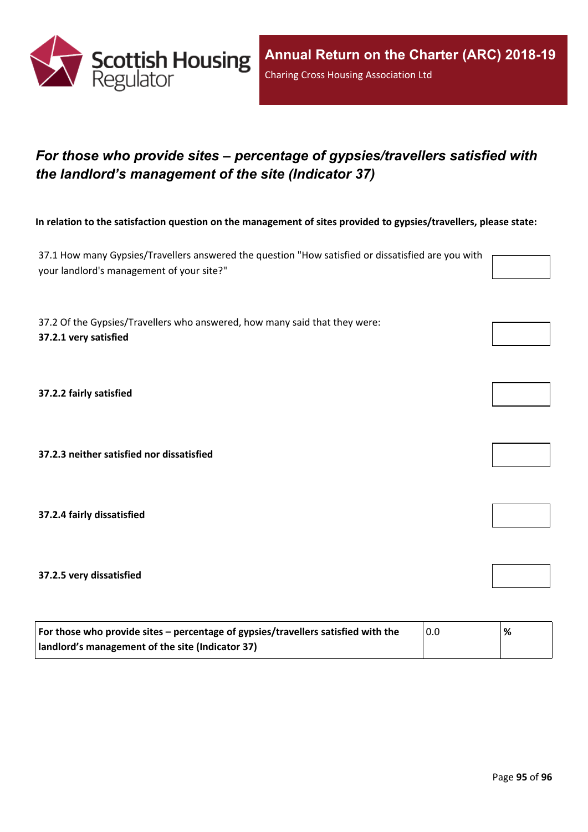

# *For those who provide sites – percentage of gypsies/travellers satisfied with the landlord's management of the site (Indicator 37)*

In relation to the satisfaction question on the management of sites provided to gypsies/travellers, please state:

37.1 How many Gypsies/Travellers answered the question "How satisfied or dissatisfied are you with your landlord's management of your site?"

37.2 Of the Gypsies/Travellers who answered, how many said that they were: **37.2.1 very satisfied**

**37.2.2 fairly satisfied**

**37.2.3 neither satisfied nor dissatisfied**

**37.2.4 fairly dissatisfied**

**37.2.5 very dissatisfied**

| For those who provide sites – percentage of gypsies/travellers satisfied with the | 0.0 | % |
|-----------------------------------------------------------------------------------|-----|---|
| I landlord's management of the site (Indicator 37)                                |     |   |